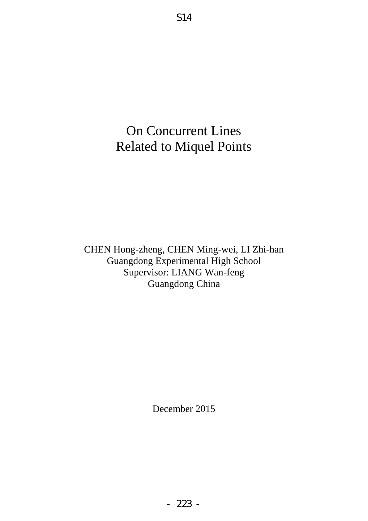# On Concurrent Lines Related to Miquel Points

CHEN Hong-zheng, CHEN Ming-wei, LI Zhi-han Guangdong Experimental High School Supervisor: LIANG Wan-feng Guangdong China

December 2015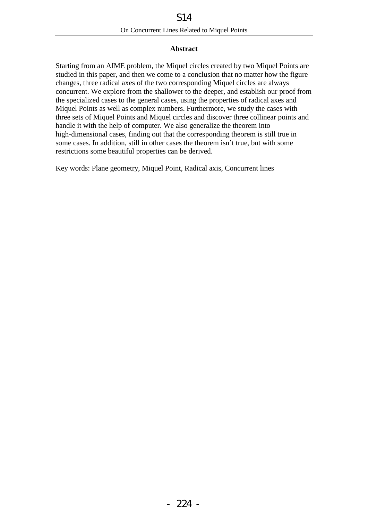## **Abstract**

Starting from an AIME problem, the Miquel circles created by two Miquel Points are studied in this paper, and then we come to a conclusion that no matter how the figure changes, three radical axes of the two corresponding Miquel circles are always concurrent. We explore from the shallower to the deeper, and establish our proof from the specialized cases to the general cases, using the properties of radical axes and Miquel Points as well as complex numbers. Furthermore, we study the cases with three sets of Miquel Points and Miquel circles and discover three collinear points and handle it with the help of computer. We also generalize the theorem into high-dimensional cases, finding out that the corresponding theorem is still true in some cases. In addition, still in other cases the theorem isn't true, but with some restrictions some beautiful properties can be derived.

Key words: Plane geometry, Miquel Point, Radical axis, Concurrent lines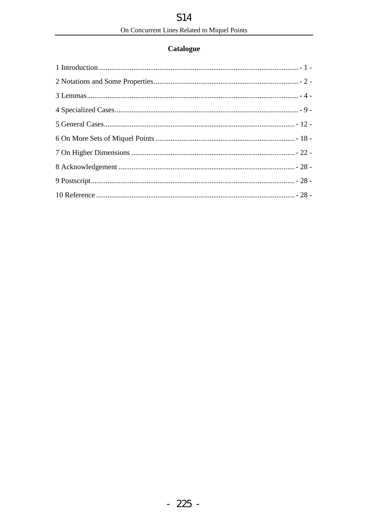## **Catalogue**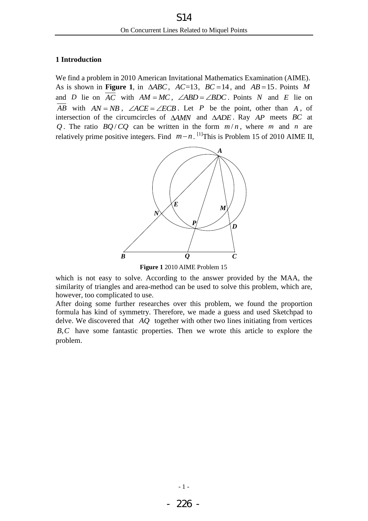## <span id="page-3-0"></span>**1 Introduction**

We find a problem in 2010 American Invitational Mathematics Examination (AIME). As is shown in **[Figure 1](#page-3-1)**, in  $\triangle ABC$ ,  $AC=13$ ,  $BC=14$ , and  $AB=15$ . Points M and *D* lie on  $\overline{AC}$  with  $AM = MC$ ,  $\angle ABD = \angle BDC$ . Points *N* and *E* lie on  $\overline{AB}$  with  $AN = NB$ ,  $\angle ACE = \angle ECB$ . Let *P* be the point, other than *A*, of intersection of the circumcircles of  $\triangle AMN$  and  $\triangle ADE$ . Ray  $AP$  meets BC at Q. The ratio  $BQ/CQ$  can be written in the form  $m/n$ , where m and n are relatively prime positive integers. Find  $m-n$ . <sup>[1]</sup>This is Problem 15 of 2010 AIME II,



**Figure 1** 2010 AIME Problem 15

<span id="page-3-1"></span>which is not easy to solve. According to the answer provided by the MAA, the similarity of triangles and area-method can be used to solve this problem, which are, however, too complicated to use.

After doing some further researches over this problem, we found the proportion formula has kind of symmetry. Therefore, we made a guess and used Sketchpad to delve. We discovered that *AQ* together with other two lines initiating from vertices *B*, *C* have some fantastic properties. Then we wrote this article to explore the problem.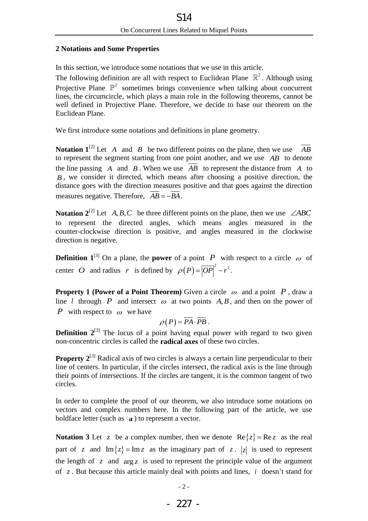## <span id="page-4-0"></span>**2 Notations and Some Properties**

In this section, we introduce some notations that we use in this article.

The following definition are all with respect to Euclidean Plane  $\mathbb{R}^2$ . Although using Projective Plane  $\mathbb{P}^2$  sometimes brings convenience when talking about concurrent lines, the circumcircle, which plays a main role in the following theorems, cannot be well defined in Projective Plane. Therefore, we decide to base our theorem on the Euclidean Plane.

We first introduce some notations and definitions in plane geometry.

**Notation 1**<sup>[2]</sup> Let A and B be two different points on the plane, then we use  $\overline{AB}$ to represent the segment starting from one point another, and we use *AB* to denote the line passing  $A$  and  $B$ . When we use  $AB$  to represent the distance from  $A$  to *B* , we consider it directed, which means after choosing a positive direction, the distance goes with the direction measures positive and that goes against the direction measures negative. Therefore,  $AB = -BA$ .

**Notation 2<sup>[2]</sup>** Let  $A, B, C$  be three different points on the plane, then we use  $\angle ABC$ to represent the directed angles, which means angles measured in the counter-clockwise direction is positive, and angles measured in the clockwise direction is negative.

**Definition 1<sup>[3]</sup>** On a plane, the **power** of a point P with respect to a circle  $\omega$  of center *O* and radius *r* is defined by  $\rho(P) = |\overline{OP}|^2 - r^2$ .

**Property 1 (Power of a Point Theorem)** Given a circle  $\omega$  and a point P, draw a line *l* through *P* and intersect  $\omega$  at two points A, B, and then on the power of *P* with respect to  $\omega$  we have

$$
\rho(P)=\overline{PA}\cdot\overline{PB}.
$$

**Definition 2**<sup>[3]</sup> The locus of a point having equal power with regard to two given non-concentric circles is called the **radical axes** of these two circles.

<span id="page-4-1"></span>**Property 2<sup>[3]</sup>** Radical axis of two circles is always a certain line perpendicular to their line of centers. In particular, if the circles intersect, the radical axis is the line through their points of intersections. If the circles are tangent, it is the common tangent of two circles.

In order to complete the proof of our theorem, we also introduce some notations on vectors and complex numbers here. In the following part of the article, we use boldface letter (such as **a** ) to represent a vector.

**Notation 3** Let  $z$  be a complex number, then we denote  $\text{Re}\{z\} = \text{Re}\,z$  as the real part of z and  $\text{Im}\{z\} = \text{Im} z$  as the imaginary part of z. |z| is used to represent the length of  $z$  and  $\arg z$  is used to represent the principle value of the argument of  $z$ . But because this article mainly deal with points and lines,  $i$  doesn't stand for

 $-2-$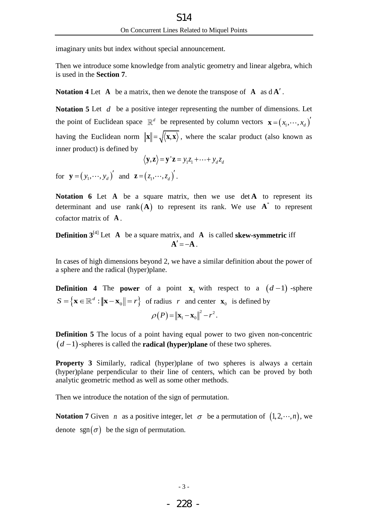imaginary units but index without special announcement.

Then we introduce some knowledge from analytic geometry and linear algebra, which is used in the **[Section 7](#page-24-0)**.

**Notation 4** Let  $A$  be a matrix, then we denote the transpose of  $A$  as  $dA'$ .

Notation 5 Let d be a positive integer representing the number of dimensions. Let the point of Euclidean space  $\mathbb{R}^d$  be represented by column vectors  $\mathbf{x} = (x_1, \dots, x_d)$ having the Euclidean norm  $\|\mathbf{x}\| = \sqrt{\langle \mathbf{x}, \mathbf{x} \rangle}$ , where the scalar product (also known as inner product) is defined by

$$
\langle \mathbf{y}, \mathbf{z} \rangle = \mathbf{y}^{\top} \mathbf{z} = y_1 z_1 + \cdots + y_d z_d
$$

for  $\mathbf{y} = (y_1, \dots, y_d)'$  and  $\mathbf{z} = (z_1, \dots, z_d)'$ .

Notation 6 Let A be a square matrix, then we use det A to represent its determinant and use  $rank(A)$  to represent its rank. We use  $A^*$  to represent cofactor matrix of **A** .

**Definition**  $3^{[4]}$  **Let** A be a square matrix, and A is called **skew-symmetric** iff  $A' = -A$ .

In cases of high dimensions beyond 2, we have a similar definition about the power of a sphere and the radical (hyper)plane.

**Definition 4** The **power** of a point  $\mathbf{x}_1$  with respect to a  $(d-1)$ -sphere  $\left\{ \mathbf{x} \in \mathbb{R}^d : \left\| \mathbf{x} - \mathbf{x}_0 \right\| = r \right\}$  $S = \{ \mathbf{x} \in \mathbb{R}^d : ||\mathbf{x} - \mathbf{x}_0|| = r \}$  of radius r and center  $\mathbf{x}_0$  is defined by  $\rho(P) = ||\mathbf{x}_1 - \mathbf{x}_0||^2 - r^2$ .

**Definition 5** The locus of a point having equal power to two given non-concentric  $(d-1)$ -spheres is called the **radical (hyper)plane** of these two spheres.

**Property 3** Similarly, radical (hyper)plane of two spheres is always a certain (hyper)plane perpendicular to their line of centers, which can be proved by both analytic geometric method as well as some other methods.

Then we introduce the notation of the sign of permutation.

**Notation 7** Given *n* as a positive integer, let  $\sigma$  be a permutation of  $(1, 2, \dots, n)$ , we denote sgn $(\sigma)$  be the sign of permutation.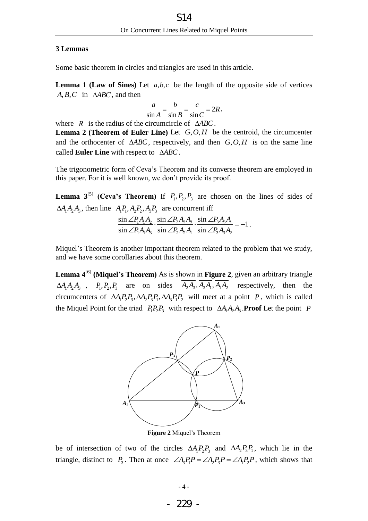## <span id="page-6-0"></span>**3 Lemmas**

Some basic theorem in circles and triangles are used in this article.

<span id="page-6-2"></span>**Lemma 1 (Law of Sines)** Let  $a, b, c$  be the length of the opposite side of vertices  $A, B, C$  in  $\triangle ABC$ , and then

$$
\frac{a}{\sin A} = \frac{b}{\sin B} = \frac{c}{\sin C} = 2R,
$$

where  $R$  is the radius of the circumcircle of  $\triangle ABC$ .

<span id="page-6-4"></span>**Lemma 2 (Theorem of Euler Line)** Let  $G, O, H$  be the centroid, the circumcenter and the orthocenter of  $\triangle ABC$ , respectively, and then  $G, O, H$  is on the same line called **Euler Line** with respect to *ABC*.

The trigonometric form of Ceva's Theorem and its converse theorem are employed in this paper. For it is well known, we don't provide its proof.

<span id="page-6-5"></span>**Lemma 3**<sup>[5]</sup> (Ceva's Theorem) If  $P_1, P_2, P_3$  are chosen on the lines of sides of

$$
\Delta A_1 A_2 A_3
$$
, then line  $A_1 P_1$ ,  $A_2 P_2$ ,  $A_3 P_3$  are concurrent iff  
\n
$$
\frac{\sin \angle P_1 A_1 A_2}{\sin \angle P_1 A_1 A_3} \cdot \frac{\sin \angle P_2 A_2 A_3}{\sin \angle P_2 A_2 A_1} \cdot \frac{\sin \angle P_3 A_3 A_1}{\sin \angle P_3 A_3 A_2} = -1.
$$

Miquel's Theorem is another important theorem related to the problem that we study, and we have some corollaries about this theorem.

<span id="page-6-3"></span>**Lemma 4**[6] **(Miquel's Theorem)** As is shown in **[Figure 2](#page-6-1)**, given an arbitrary triangle  $\Delta A_1 A_2 A_3$ ,  $P_1, P_2, P_3$  are on sides  $\overline{A_2 A_3}, \overline{A_3 A_1}, \overline{A_1 A_2}$  respectively, then the circumcenters of  $\Delta A_1 P_2 P_3$ ,  $\Delta A_2 P_3 P_1$ ,  $\Delta A_3 P_1 P_2$  will meet at a point *P*, which is called the Miquel Point for the triad  $P_1 P_2 P_3$  with respect to  $\Delta A_1 A_2 A_3$ . **Proof** Let the point P



**Figure 2** Miquel's Theorem

<span id="page-6-1"></span>be of intersection of two of the circles  $\Delta A_1 P_2 P_3$  and  $\Delta A_2 P_3 P_1$ , which lie in the triangle, distinct to  $P_3$ . Then at once  $\angle A_3P_1P = \angle A_2P_3P = \angle A_1P_2P$ , which shows that

- 229 -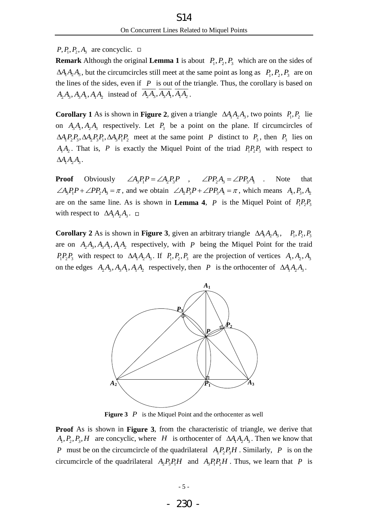$P, P_1, P_2, A_3$  are concyclic.

**Remark** Although the original **[Lemma 1](#page-6-2)** is about  $P_1, P_2, P_3$  which are on the sides of  $\Delta A_1 A_2 A_3$ , but the circumcircles still meet at the same point as long as  $P_1, P_2, P_3$  are on the lines of the sides, even if  $P$  is out of the triangle. Thus, the corollary is based on  $A_2A_3, A_3A_1, A_1A_2$  instead of  $\overline{A_2A_3, A_3A_1}, \overline{A_1A_2}$ .

**Corollary 1** As is shown in **[Figure 2](#page-6-1)**, given a triangle  $\Delta A_1 A_2 A_3$ , two points  $P_1, P_2$  lie on  $A_3A_1$ ,  $A_2A_3$  respectively. Let  $P_3$  be a point on the plane. If circumcircles of  $\Delta A_1 P_2 P_3$ ,  $\Delta A_2 P_3 P_1$ ,  $\Delta A_3 P_1 P_2$  meet at the same point *P* distinct to  $P_3$ , then  $P_3$  lies on  $A_1A_2$ . That is, P is exactly the Miquel Point of the triad  $P_1P_2P_3$  with respect to  $\Delta A_1 A_2 A_3$ .

**Proof** Obviously  $\angle A_3P_1P = \angle A_2P_3P$ ,  $\angle PP_2A_3 = \angle PP_3A_1$ . Note that  $\angle A_3P_1P + \angle PP_2A_3 = \pi$ , and we obtain  $\angle A_2P_3P + \angle PP_3A_1 = \pi$ , which means  $A_1, P_3, A_2$ are on the same line. As is shown in **[Lemma 4](#page-6-3)**, *P* is the Miquel Point of  $P_1P_2P_3$ with respect to  $\Delta A_1 A_2 A_3$ .

<span id="page-7-1"></span>**Corollary 2** As is shown in **[Figure 3](#page-7-0)**, given an arbitrary triangle  $\Delta A_1 A_2 A_3$ ,  $P_1, P_2, P_3$ are on  $A_2A_3, A_3A_1, A_1A_2$  respectively, with P being the Miquel Point for the traid  $P_1P_2P_3$  with respect to  $\Delta A_1A_2A_3$ . If  $P_1, P_2, P_3$  are the projection of vertices  $A_1, A_2, A_3$ on the edges  $A_2A_3$ ,  $A_3A_1$ ,  $A_1A_2$  respectively, then *P* is the orthocenter of  $\Delta A_1A_2A_3$ .



**Figure 3**  $P$  is the Miquel Point and the orthocenter as well

<span id="page-7-0"></span>**Proof** As is shown in **[Figure 3](#page-7-0)**, from the characteristic of triangle, we derive that  $A_1, P_2, P_3, H$  are concyclic, where *H* is orthocenter of  $\Delta A_1 A_2 A_3$ . Then we know that *P* must be on the circumcircle of the quadrilateral  $A_1 P_2 P_3 H$ . Similarly, *P* is on the circumcircle of the quadrilateral  $A_2P_3P_1H$  and  $A_3P_1P_2H$ . Thus, we learn that P is

- 230 -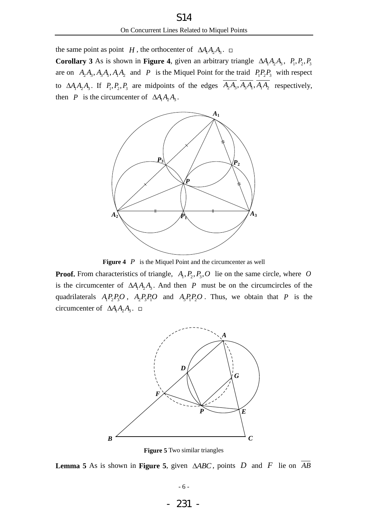the same point as point *H*, the orthocenter of  $\Delta A_1 A_2 A_3$ .

<span id="page-8-2"></span>**Corollary 3** As is shown in **[Figure 4](#page-8-0)**, given an arbitrary triangle  $\Delta A_1 A_2 A_3$ ,  $P_1, P_2, P_3$ are on  $A_2A_3$ ,  $A_3A_1$ ,  $A_1A_2$  and P is the Miquel Point for the traid  $P_1P_2P_3$  with respect to  $\Delta A_1 A_2 A_3$ . If  $P_1, P_2, P_3$  are midpoints of the edges  $\overline{A_2 A_3}, \overline{A_3 A_1}, \overline{A_1 A_2}$  respectively, then *P* is the circumcenter of  $\Delta A_1 A_2 A_3$ .



**Figure 4**  $P$  is the Miquel Point and the circumcenter as well

<span id="page-8-0"></span>**Proof.** From characteristics of triangle,  $A_1, P_2, P_3, O$  lie on the same circle, where O is the circumcenter of  $\Delta A_1 A_2 A_3$ . And then P must be on the circumcircles of the quadrilaterals  $A_1P_2P_3O$ ,  $A_2P_3P_1O$  and  $A_3P_1P_2O$ . Thus, we obtain that P is the circumcenter of  $\Delta A_1 A_2 A_3$ .



**Figure 5** Two similar triangles

<span id="page-8-1"></span>**Lemma 5** As is shown in **[Figure 5](#page-8-1)**, given  $\triangle ABC$ , points D and F lie on  $\overline{AB}$ 

- 231 -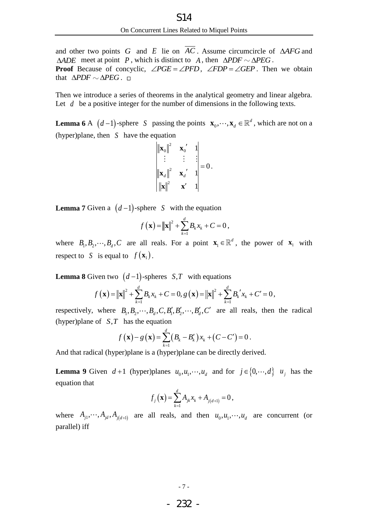and other two points  $G$  and  $E$  lie on  $AC$ . Assume circumcircle of  $\triangle AFG$  and  $\triangle ADE$  meet at point P, which is distinct to A, then  $\triangle PDF \sim \triangle PEG$ . **Proof** Because of concyclic,  $\angle PGE = \angle PFD$ ,  $\angle FDP = \angle GEP$ . Then we obtain that  $\triangle PDF \sim \triangle PEG$ .

Then we introduce a series of theorems in the analytical geometry and linear algebra. Let  $d$  be a positive integer for the number of dimensions in the following texts.

<span id="page-9-0"></span>**Lemma 6** A  $(d-1)$ -sphere *S* passing the points  $\mathbf{x}_0, \dots, \mathbf{x}_d \in \mathbb{R}^d$ , which are not on a (hyper)plane, then *S* have the equation

$$
\begin{vmatrix} \|\mathbf{x}_0\|^2 & \mathbf{x}_0' & 1 \\ \vdots & \vdots & \vdots \\ \|\mathbf{x}_d\|^2 & \mathbf{x}_d' & 1 \\ \|\mathbf{x}\|^2 & \mathbf{x}' & 1 \end{vmatrix} = 0.
$$

**Lemma 7** Given a  $(d-1)$ -sphere *S* with the equation

$$
f(\mathbf{x}) = ||\mathbf{x}||^2 + \sum_{k=1}^d B_k x_k + C = 0,
$$

where  $B_1, B_2, \dots, B_d, C$  are all reals. For a point  $\mathbf{x}_1$  $\mathbf{x}_{1} \in \mathbb{R}^{d}$ , the power of  $\mathbf{x}_{1}$  with respect to *S* is equal to  $f(\mathbf{x}_1)$ .

**Lemma 8** Given two 
$$
(d-1)
$$
-spheres *S*,*T* with equations  

$$
f(\mathbf{x}) = ||\mathbf{x}||^2 + \sum_{k=1}^d B_k x_k + C = 0, g(\mathbf{x}) = ||\mathbf{x}||^2 + \sum_{k=1}^d B_k' x_k + C' = 0,
$$

respectively, where  $B_1, B_2, \dots, B_d, C, B'_1, B'_2, \dots, B'_d, C'$  are all reals, then the radical (hyper)plane of  $S$ ,  $T$  has the equation

has the equation  

$$
f(\mathbf{x}) - g(\mathbf{x}) = \sum_{k=1}^{d} (B_k - B'_k) x_k + (C - C') = 0.
$$

And that radical (hyper)plane is a (hyper)plane can be directly derived.

<span id="page-9-1"></span>**Lemma 9** Given  $d+1$  (hyper)planes  $u_0, u_1, \dots, u_d$  and for  $j \in \{0, \dots, d\}$   $u_j$  has the equation that

$$
f_j(\mathbf{x}) = \sum_{k=1}^d A_{jk} x_k + A_{j(d+1)} = 0,
$$

where  $A_{j1}, \dots, A_{jd}, A_{j(d+1)}$  are all reals, and then  $u_0, u_1, \dots, u_d$  are concurrent (or parallel) iff

$$
\sim 7
$$
 –

## - 232 -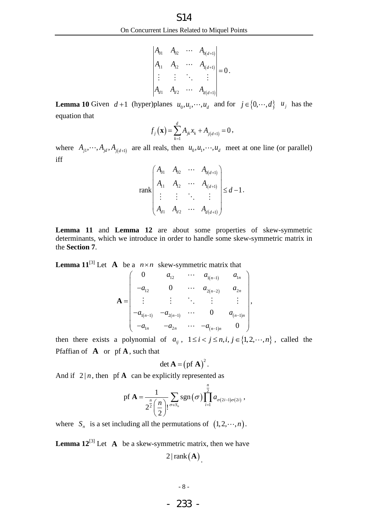$$
\begin{vmatrix} A_{01} & A_{02} & \cdots & A_{0(d+1)} \\ A_{11} & A_{12} & \cdots & A_{1(d+1)} \\ \vdots & \vdots & \ddots & \vdots \\ A_{d1} & A_{d2} & \cdots & A_{d(d+1)} \end{vmatrix} = 0.
$$

<span id="page-10-2"></span>**Lemma 10** Given  $d+1$  (hyper)planes  $u_0, u_1, \dots, u_d$  and for  $j \in \{0, \dots, d\}$   $u_j$  has the equation that

$$
f_j(\mathbf{x}) = \sum_{k=1}^d A_{jk} x_k + A_{j(d+1)} = 0,
$$

where  $A_{j1}, \dots, A_{jd}, A_{j(d+1)}$  are all reals, then  $u_0, u_1, \dots, u_d$  meet at one line (or parallel) iff

rank 
$$
\begin{pmatrix} A_{01} & A_{02} & \cdots & A_{0(d+1)} \\ A_{11} & A_{12} & \cdots & A_{1(d+1)} \\ \vdots & \vdots & \ddots & \vdots \\ A_{d1} & A_{d2} & \cdots & A_{d(d+1)} \end{pmatrix} \leq d-1.
$$

.

**[Lemma 11](#page-10-0)** and **[Lemma 12](#page-10-1)** are about some properties of skew-symmetric determinants, which we introduce in order to handle some skew-symmetric matrix in the **[Section 7](#page-24-0)**.

<span id="page-10-0"></span>

**Lemma 10 Given** 
$$
d+1
$$
 (hyperplanes  $u_0, u_1, \dots, u_d$  and for  $j \in \{0, \dots, a_{d(d+1)}\}$   
\n**Lemma 10 Given**  $d+1$  (hyperplanes  $u_0, u_1, \dots, u_d$  and for  $j \in \{0, \dots, a_{d(d+1)}\}$   
\n
$$
\vdots \qquad \vdots \qquad \ddots \qquad \vdots
$$
\n
$$
\vdots \qquad \vdots \qquad \ddots \qquad \vdots
$$
\n
$$
\downarrow \qquad \vdots
$$
\nwhere  $A_{j_1}, \dots, A_{j_d}, A_{j_d+1}$  are all reals, then  $u_0, u_1, \dots, u_d$  meet at one lin  
\nif  $f_1$  and  $\downarrow f_2$  are also  $\downarrow f_2$  and  $\downarrow f_3$  are at one  $\downarrow f_3$  is  $\downarrow f_3$  and  $\downarrow f_4$  and  $\downarrow f_5$  and  $\downarrow f_6$  and  $\downarrow f_7$  and  $\downarrow f_8$  are at one  $\downarrow f_9$  and  $\downarrow f_9$  are at one  $\downarrow f_9$  and  $\downarrow f_9$  and  $\downarrow f_9$  are at one  $\downarrow f_9$  and  $\downarrow f_9$  and  $\downarrow f_9$  are at one  $\downarrow f_9$  and  $\downarrow f_9$  and  $\downarrow f_9$  and  $\downarrow f_9$  are at one  $\downarrow f_9$  and  $\downarrow f_9$  and  $\downarrow f_9$  are at one  $\downarrow f_9$  and  $\downarrow f_9$  and  $\downarrow f_9$  are at one  $\downarrow f_9$  and  $\downarrow f_9$  and  $\downarrow f_9$  are at one  $\downarrow f_9$  and  $\downarrow f_9$  and  $\downarrow f_9$  and  $\downarrow f_9$  are at one  $\downarrow f_9$  and  $\downarrow f_9$  and  $\downarrow f_9$  and  $\down$ 

then there exists a polynomial of  $a_{ij}$ ,  $1 \le i < j \le n, i, j \in \{1, 2, \dots, n\}$ , called the Pfaffian of  $\bf{A}$  or  $pf \bf{A}$ , such that

$$
\det \mathbf{A} = (\text{pf } \mathbf{A})^2.
$$

And if  $2|n$ , then pf **A** can be explicitly represented as

$$
\text{pf } \mathbf{A} = \frac{1}{2^{\frac{n}{2}} \left(\frac{n}{2}\right)!} \sum_{\sigma \in S_n} \text{sgn}(\sigma) \prod_{i=1}^{\frac{n}{2}} a_{\sigma(2i-1)\sigma(2i)},
$$

where  $S_n$  is a set including all the permutations of  $(1, 2, \dots, n)$ .

<span id="page-10-1"></span>**Lemma**  $12^{3}$  Let A be a skew-symmetric matrix, then we have  $2 | rank(A)|$ .

- 233 -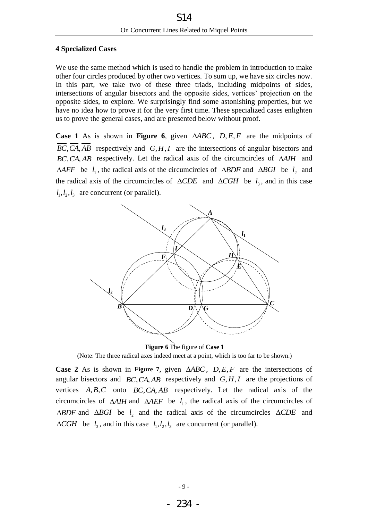## <span id="page-11-0"></span>**4 Specialized Cases**

We use the same method which is used to handle the problem in introduction to make other four circles produced by other two vertices. To sum up, we have six circles now. In this part, we take two of these three triads, including midpoints of sides, intersections of angular bisectors and the opposite sides, vertices' projection on the opposite sides, to explore. We surprisingly find some astonishing properties, but we have no idea how to prove it for the very first time. These specialized cases enlighten us to prove the general cases, and are presented below without proof.

<span id="page-11-2"></span>**Case 1** As is shown in **[Figure 6](#page-11-1)**, given  $\triangle ABC$ ,  $D, E, F$  are the midpoints of  $BC, CA, AB$  respectively and  $G, H, I$  are the intersections of angular bisectors and  $BC, CA, AB$  respectively. Let the radical axis of the circumcircles of  $\triangle AIH$  and  $\triangle AEF$  be  $l_1$ , the radical axis of the circumcircles of  $\triangle BDF$  and  $\triangle BGI$  be  $l_2$  and the radical axis of the circumcircles of  $\triangle CDE$  and  $\triangle CGH$  be  $l_3$ , and in this case  $l_1, l_2, l_3$  are concurrent (or parallel).



#### **Figure 6** The figure of **[Case 1](#page-11-2)**

<span id="page-11-1"></span>(Note: The three radical axes indeed meet at a point, which is too far to be shown.)

<span id="page-11-3"></span>**Case 2** As is shown in [Figure 7](#page-12-0), given  $\triangle ABC$ ,  $D, E, F$  are the intersections of angular bisectors and  $BC, CA, AB$  respectively and  $G, H, I$  are the projections of vertices  $A, B, C$  onto  $BC, CA, AB$  respectively. Let the radical axis of the circumcircles of  $\triangle AIH$  and  $\triangle AEF$  be  $l_1$ , the radical axis of the circumcircles of  $\triangle BDF$  and  $\triangle BGI$  be  $l_2$  and the radical axis of the circumcircles  $\triangle CDE$  and  $\triangle CGH$  be  $l_3$ , and in this case  $l_1, l_2, l_3$  are concurrent (or parallel).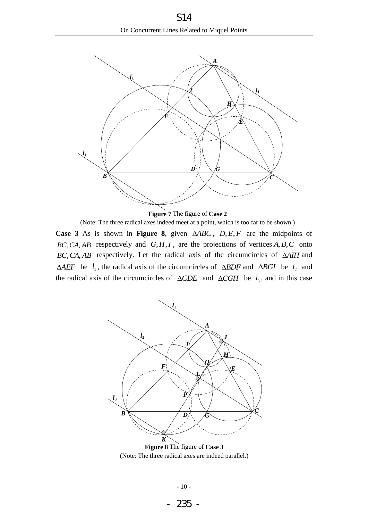

**Figure 7** The figure of **[Case 2](#page-11-3)**

<span id="page-12-2"></span><span id="page-12-0"></span>**Case 3** As is shown in **[Figure 8](#page-12-1)**, given  $\triangle ABC$ ,  $D, E, F$  are the midpoints of  $\overline{BC}, \overline{CA}, \overline{AB}$  respectively and  $G, H, I$ , are the projections of vertices A, B, C onto  $BC, CA, AB$  respectively. Let the radical axis of the circumcircles of  $\triangle A I H$  and  $\triangle AEF$  be  $l_1$ , the radical axis of the circumcircles of  $\triangle BDF$  and  $\triangle BGI$  be  $l_2$  and the radical axis of the circumcircles of  $\triangle CDE$  and  $\triangle CGH$  be  $l_3$ , and in this case (Note: The three radical axes indeed meet at a point, which is too far to be shown.)



<span id="page-12-1"></span>**Figure 8** The figure of **[Case 3](#page-12-2)** (Note: The three radical axes are indeed parallel.)

- 235 -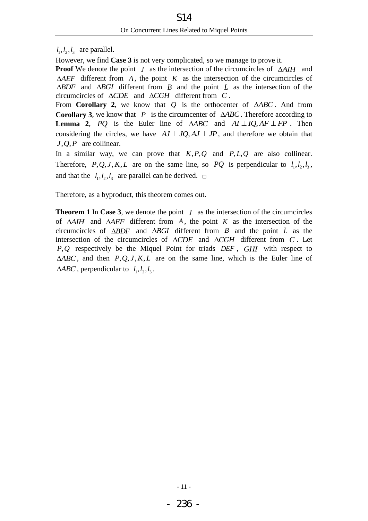$l_1, l_2, l_3$  are parallel.

However, we find **[Case 3](#page-12-2)** is not very complicated, so we manage to prove it.

**Proof** We denote the point  $J$  as the intersection of the circumcircles of  $\Delta A I H$  and  $\triangle AEF$  different from A, the point K as the intersection of the circumcircles of  $\triangle BDF$  and  $\triangle BGI$  different from *B* and the point *L* as the intersection of the circumcircles of  $\triangle CDE$  and  $\triangle CGH$  different from  $C$ .

From **[Corollary 2](#page-7-1)**, we know that Q is the orthocenter of  $\triangle ABC$ . And from **[Corollary 3](#page-8-2)**, we know that  $P$  is the circumcenter of  $\triangle ABC$ . Therefore according to **[Lemma 2](#page-6-4),** PQ is the Euler line of  $\triangle ABC$  and  $AI \perp IQ$ ,  $AF \perp FP$ . Then considering the circles, we have  $AJ \perp JQ$ ,  $AJ \perp JP$ , and therefore we obtain that  $J, Q, P$  are collinear.

In a similar way, we can prove that  $K, P, Q$  and  $P, L, Q$  are also collinear. Therefore, P,Q,J,K,L are on the same line, so PQ is perpendicular to  $l_1, l_2, l_3$ , and that the  $l_1, l_2, l_3$  are parallel can be derived.

Therefore, as a byproduct, this theorem comes out.

**Theorem 1** In **[Case 3](#page-12-2)**, we denote the point  $J$  as the intersection of the circumcircles of  $\triangle AIH$  and  $\triangle AEF$  different from  $A$ , the point  $K$  as the intersection of the circumcircles of  $\triangle BDF$  and  $\triangle BGI$  different from *B* and the point *L* as the intersection of the circumcircles of  $\triangle CDE$  and  $\triangle CGH$  different from  $C$ . Let *PQ*, respectively be the Miquel Point for triads *DEF* , *GHI* with respect to  $\triangle ABC$ , and then  $P, Q, J, K, L$  are on the same line, which is the Euler line of  $\triangle ABC$ , perpendicular to  $l_1, l_2, l_3$ .

- 236 -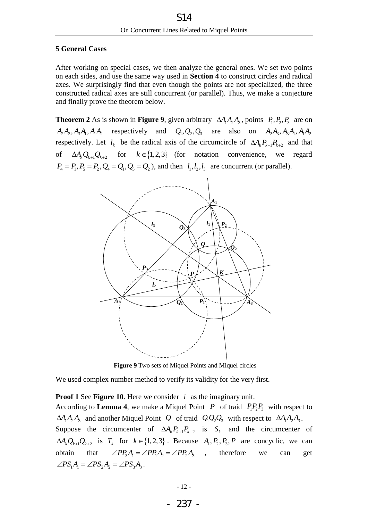## <span id="page-14-0"></span>**5 General Cases**

After working on special cases, we then analyze the general ones. We set two points on each sides, and use the same way used in **[Section 4](#page-11-0)** to construct circles and radical axes. We surprisingly find that even though the points are not specialized, the three constructed radical axes are still concurrent (or parallel). Thus, we make a conjecture and finally prove the theorem below.

<span id="page-14-2"></span>**Theorem 2** As is shown in **[Figure 9](#page-14-1)**, given arbitrary  $\Delta A_1 A_2 A_3$ , points  $P_1, P_2, P_3$  are on  $A_2A_3, A_3A_1, A_1A_2$  respectively and  $Q_1, Q_2, Q_3$  are also on  $A_2A_3, A_3A_1, A_1A_2$ respectively. Let  $l_k$  be the radical axis of the circumcircle of  $\Delta A_k P_{k+1} P_{k+2}$  and that of  $\Delta A_k Q_{k+1} Q_{k+2}$  for  $k \in \{1,2,3\}$  (for notation convenience, we regard  $P_4 = P_1, P_5 = P_2, Q_4 = Q_1, Q_5 = Q_2$ ), and then  $l_1, l_2, l_3$  are concurrent (or parallel).



**Figure 9** Two sets of Miquel Points and Miquel circles

<span id="page-14-1"></span>We used complex number method to verify its validity for the very first.

**Proof 1** See **[Figure 10](#page-15-0)**. Here we consider *i* as the imaginary unit.

According to **[Lemma 4](#page-6-3)**, we make a Miquel Point P of traid  $P_1P_2P_3$  with respect to  $\Delta A_1 A_2 A_3$  and another Miquel Point *Q* of traid  $Q_1 Q_2 Q_3$  with respect to  $\Delta A_1 A_2 A_3$ . Suppose the circumcenter of  $\Delta A_k P_{k+1} P_{k+2}$  is  $S_k$  and the circumcenter of  $\Delta A_k Q_{k+1} Q_{k+2}$  is  $T_k$  for  $k \in \{1,2,3\}$ . Because  $A_1, P_2, P_3, P$  are concyclic, we can obtain that  $\angle PP_3A_1 = \angle PP_1A_2 = \angle PP_2A_3$ , therefore we can get  $\angle PS_1A_1 = \angle PS_2A_2 = \angle PS_3A_3.$ 

$$
-237 -
$$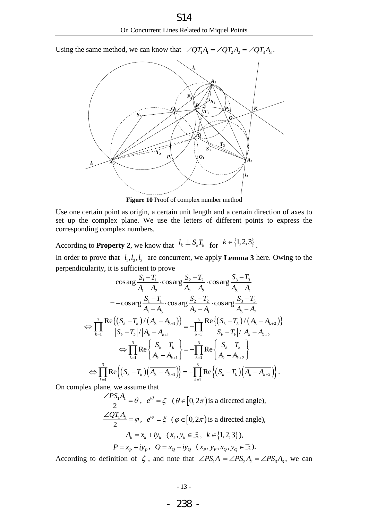Using the same method, we can know that  $\angle QT_1A_1 = \angle QT_2A_2 = \angle QT_3A_3$ .



**Figure 10** Proof of complex number method

<span id="page-15-0"></span>Use one certain point as origin, a certain unit length and a certain direction of axes to set up the complex plane. We use the letters of different points to express the corresponding complex numbers.

According to **[Property 2](#page-4-1)**, we know that  $l_k \perp S_k T_k$  for  $k \in \{1, 2, 3\}$ .

In order to prove that  $l_1, l_2, l_3$  are concurrent, we apply **[Lemma 3](#page-6-5)** here. Owing to the t to prove<br> $\frac{-T_1}{T_1}$ . cos arg  $\frac{S_2 - T_2}{T_2}$ . cos arg  $\frac{S_3 - T_1}{T_1}$ 

perpendicularity, it is sufficient to prove  
\n
$$
\cos \arg \frac{S_1 - T_1}{A_1 - A_2} \cdot \cos \arg \frac{S_2 - T_2}{A_2 - A_3} \cdot \cos \arg \frac{S_3 - T_3}{A_3 - A_1}
$$
\n
$$
= -\cos \arg \frac{S_1 - T_1}{A_1 - A_3} \cdot \cos \arg \frac{S_2 - T_2}{A_2 - A_1} \cdot \cos \arg \frac{S_3 - T_3}{A_3 - A_2}
$$
\n
$$
\Leftrightarrow \prod_{k=1}^3 \frac{\text{Re}\{(S_k - T_k)/(A_k - A_{k+1})\}}{|S_k - T_k|/|A_k - A_{k+1}|} = -\prod_{k=1}^3 \frac{\text{Re}\{(S_k - T_k)/(A_k - A_{k+2})\}}{|S_k - T_k|/|A_k - A_{k+2}|}
$$
\n
$$
\Leftrightarrow \prod_{k=1}^3 \text{Re}\{\frac{S_k - T_k}{A_k - A_{k+1}}\} = -\prod_{k=1}^3 \text{Re}\{\frac{S_k - T_k}{A_k - A_{k+2}}\}
$$
\n
$$
\Leftrightarrow \prod_{k=1}^3 \text{Re}\{(S_k - T_k)(\overline{A_k - A_{k+1}})\} = -\prod_{k=1}^3 \text{Re}\{(S_k - T_k)(\overline{A_k - A_{k+2}})\}.
$$

On complex plane, we assume that

$$
\frac{\angle PS_1 A_1}{2} = \theta, \quad e^{i\theta} = \zeta \quad (\theta \in [0, 2\pi) \text{ is a directed angle}),
$$
  

$$
\frac{\angle QT_1 A_1}{2} = \varphi, \quad e^{i\varphi} = \xi \quad (\varphi \in [0, 2\pi) \text{ is a directed angle}),
$$
  

$$
A_k = x_k + iy_k \quad (x_k, y_k \in \mathbb{R}, \quad k \in \{1, 2, 3\}),
$$
  

$$
P = x_p + iy_p, \quad Q = x_Q + iy_Q \quad (x_p, y_p, x_Q, y_Q \in \mathbb{R}).
$$

According to definition of  $\zeta$ , and note that  $\angle PS_1A_1 = \angle PS_2A_2 = \angle PS_3A_3$ , we can

- 238 -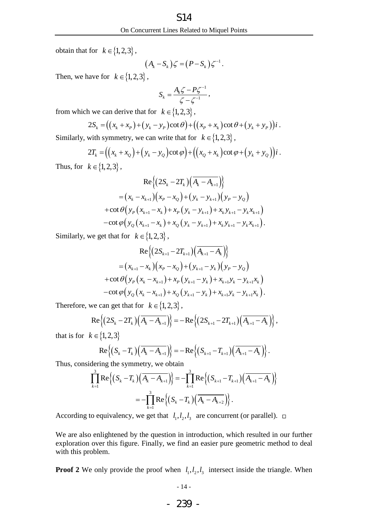obtain that for  $k \in \{1, 2, 3\}$ ,

$$
(A_k-S_k)\zeta=(P-S_k)\zeta^{-1}.
$$

Then, we have for  $k \in \{1, 2, 3\}$ ,

$$
S_k = \frac{A_k \zeta - P \zeta^{-1}}{\zeta - \zeta^{-1}},
$$

from which we can derive that for  $k \in \{1,2,3\}$ ,

$$
\zeta - \zeta
$$
  
\n
$$
\zeta - \zeta
$$
  
\n
$$
\zeta - \zeta
$$
  
\n
$$
\zeta - \zeta
$$
  
\n
$$
\zeta - \zeta
$$
  
\n
$$
\zeta - \zeta
$$
  
\n
$$
\zeta - \zeta
$$
  
\n
$$
\zeta - \zeta
$$
  
\n
$$
\zeta - \zeta
$$
  
\n
$$
\zeta - \zeta
$$
  
\n
$$
\zeta - \zeta
$$
  
\n
$$
\zeta - \zeta
$$
  
\n
$$
\zeta - \zeta
$$
  
\n
$$
\zeta - \zeta
$$
  
\n
$$
\zeta - \zeta
$$
  
\n
$$
\zeta - \zeta
$$
  
\n
$$
\zeta - \zeta
$$
  
\n
$$
\zeta - \zeta
$$
  
\n
$$
\zeta - \zeta
$$
  
\n
$$
\zeta - \zeta
$$
  
\n
$$
\zeta - \zeta
$$
  
\n
$$
\zeta - \zeta
$$
  
\n
$$
\zeta - \zeta
$$
  
\n
$$
\zeta - \zeta
$$
  
\n
$$
\zeta - \zeta
$$
  
\n
$$
\zeta - \zeta
$$
  
\n
$$
\zeta - \zeta
$$
  
\n
$$
\zeta - \zeta
$$
  
\n
$$
\zeta - \zeta
$$
  
\n
$$
\zeta - \zeta
$$
  
\n
$$
\zeta - \zeta
$$
  
\n
$$
\zeta - \zeta
$$
  
\n
$$
\zeta - \zeta
$$
  
\n
$$
\zeta - \zeta
$$
  
\n
$$
\zeta - \zeta
$$
  
\n
$$
\zeta - \zeta
$$
  
\n
$$
\zeta - \zeta
$$
  
\n
$$
\zeta - \zeta
$$
  
\n
$$
\zeta - \zeta
$$
  
\n
$$
\zeta - \zeta
$$
  
\n
$$
\zeta - \zeta
$$
  
\n
$$
\zeta - \zeta
$$
  
\n
$$
\zeta -
$$

Similarly, with symmetry, we can write that for  $k \in \{1,2,3\}$ ,

with symmetry, we can write that for 
$$
k \in \{1, 2, 3\}
$$
,  
\n
$$
2T_k = ((x_k + x_0) + (y_k - y_0) \cot \varphi) + ((x_0 + x_k) \cot \varphi + (y_k + y_0))i.
$$

Thus, for  $k \in \{1, 2, 3\}$ ,

$$
\operatorname{Re}\left\{ \left(2S_k - 2T_k\right) \left(\overline{A_k - A_{k+1}}\right) \right\}
$$
  
=  $\left(x_k - x_{k+1}\right) \left(x_p - x_Q\right) + \left(y_k - y_{k+1}\right) \left(y_p - y_Q\right)$   
+  $\cot \theta \left(y_p \left(x_{k+1} - x_k\right) + x_p \left(y_k - y_{k+1}\right) + x_k y_{k+1} - y_k x_{k+1}\right)$   
-  $\cot \varphi \left(y_Q \left(x_{k+1} - x_k\right) + x_Q \left(y_k - y_{k+1}\right) + x_k y_{k+1} - y_k x_{k+1}\right).$ 

Similarly, we get that for  $k \in \{1, 2, 3\}$ ,

$$
\operatorname{Re}\left\{ \left(2S_{k+1} - 2T_{k+1}\right) \left(\overline{A_{k+1} - A_k}\right) \right\}
$$
  
=  $(x_{k+1} - x_k)(x_p - x_Q) + (y_{k+1} - y_k)(y_p - y_Q)$   
+  $\cot \theta \left(y_p(x_k - x_{k+1}) + x_p(y_{k+1} - y_k) + x_{k+1}y_k - y_{k+1}x_k\right)$   
-  $\cot \varphi \left(y_Q(x_k - x_{k+1}) + x_Q(y_{k+1} - y_k) + x_{k+1}y_k - y_{k+1}x_k\right).$ 

Therefore, we can get that for 
$$
k \in \{1, 2, 3\}
$$
,  
\n
$$
Re \{(2S_k - 2T_k) (\overline{A_k - A_{k+1}}) \} = -Re \{(2S_{k+1} - 2T_{k+1}) (\overline{A_{k+1} - A_k}) \},
$$

that is for  $k \in \{1,2,3\}$ 

$$
{1,2,3}
$$
  
Re ${(S_k - T_k)(\overline{A_k - A_{k+1}})} = -Re{((S_{k+1} - T_{k+1})(\overline{A_{k+1} - A_k})}.$ 

$$
\operatorname{Re}\left\{ (S_k - T_k) \left( \overline{A_k - A_{k+1}} \right) \right\} = -\operatorname{Re}\left\{ (S_{k+1} - T_{k+1}) \left( \overline{A_{k+1} - A_k} \right) \right\}.
$$
\nThus, considering the symmetry, we obtain

\n
$$
\prod_{k=1}^{3} \operatorname{Re}\left\{ (S_k - T_k) \left( \overline{A_k - A_{k+1}} \right) \right\} = -\prod_{k=1}^{3} \operatorname{Re}\left\{ (S_{k+1} - T_{k+1}) \left( \overline{A_{k+1} - A_k} \right) \right\}
$$
\n
$$
= -\prod_{k=1}^{3} \operatorname{Re}\left\{ (S_k - T_k) \left( \overline{A_k - A_{k+2}} \right) \right\}.
$$

According to equivalency, we get that  $l_1, l_2, l_3$  are concurrent (or parallel).

We are also enlightened by the question in introduction, which resulted in our further exploration over this figure. Finally, we find an easier pure geometric method to deal with this problem.

**Proof 2** We only provide the proof when  $l_1, l_2, l_3$  intersect inside the triangle. When

- 239 -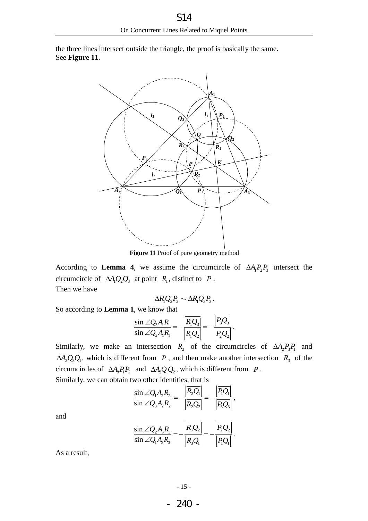the three lines intersect outside the triangle, the proof is basically the same. See **[Figure 11](#page-17-0)**.



**Figure 11** Proof of pure geometry method

<span id="page-17-0"></span>According to **[Lemma 4](#page-6-3)**, we assume the circumcircle of  $\Delta A_1 P_2 P_3$  intersect the circumcircle of  $\Delta A_1 Q_2 Q_3$  at point  $R_1$ , distinct to P. Then we have

$$
\Delta R_1 Q_2 P_2 \sim \Delta R_1 Q_3 P_3.
$$

So according to **[Lemma 1](#page-6-2)**, we know that

, we know that  
\n
$$
\frac{\sin \angle Q_3 A_1 R_1}{\sin \angle Q_2 A_1 R_1} = -\frac{\overline{R_1 Q_3}}{\overline{R_1 Q_2}} = -\frac{\overline{R_3 Q_3}}{\overline{R_2 Q_2}}.
$$

Similarly, we make an intersection  $R_2$  of the circumcircles of  $\Delta A_2 P_3 P_1$  and  $\Delta A_2 Q_3 Q_1$ , which is different from *P*, and then make another intersection *R*<sub>3</sub> of the circumcircles of  $\Delta A_3 P_1 P_2$  and  $\Delta A_3 Q_1 Q_2$ , which is different from *P*.

Similarly, we can obtain two other identities, that is  
\n
$$
\frac{\sin \angle Q_1 A_2 R_2}{\sin \angle Q_3 A_2 R_2} = -\frac{\left| \overline{R_2 Q_1} \right|}{\left| \overline{R_2 Q_3} \right|} = -\frac{\left| \overline{P_1 Q_1} \right|}{\left| \overline{P_3 Q_3} \right|},
$$

and

$$
\frac{\sin \angle Q_2 A_3 R_3}{\sin \angle Q_1 A_3 R_3} = -\frac{\overline{R_3 Q_2}}{\overline{R_3 Q_1}} = -\frac{\overline{P_2 Q_2}}{\overline{P_1 Q_1}}.
$$

As a result,

- 240 -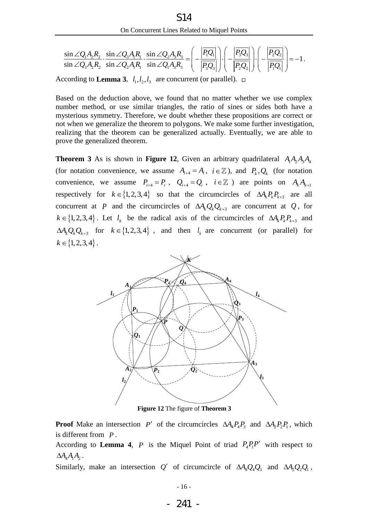On Concurrent Lines Related to Miguel Points  
\n
$$
\frac{\sin \angle Q_1 A_2 R_2}{\sin \angle Q_3 A_2 R_2} \cdot \frac{\sin \angle Q_3 A_1 R_1}{\sin \angle Q_2 A_3 R_3} \cdot \frac{\sin \angle Q_2 A_3 R_3}{\sin \angle Q_1 A_3 R_3} = \left( -\frac{\left| \overline{P_1 Q_1} \right|}{\left| \overline{P_3 Q_3} \right|} \right) \cdot \left( -\frac{\left| \overline{P_2 Q_2} \right|}{\left| \overline{P_2 Q_2} \right|} \right) = -1.
$$
\nreceding to **I** among 3, *I, I, I, crs* convergent (or parallel),  $\square$ 

According to **[Lemma 3](#page-6-5)**,  $l_1, l_2, l_3$  are concurrent (or parallel).

Based on the deduction above, we found that no matter whether we use complex number method, or use similar triangles, the ratio of sines or sides both have a mysterious symmetry. Therefore, we doubt whether these propositions are correct or not when we generalize the theorem to polygons. We make some further investigation, realizing that the theorem can be generalized actually. Eventually, we are able to prove the generalized theorem.

<span id="page-18-1"></span>**Theorem 3** As is shown in **[Figure 12](#page-18-0)**, Given an arbitrary quadrilateral  $A_1A_2A_3A_4$ (for notation convenience, we assume  $A_{i+4} = A_i$ ,  $i \in \mathbb{Z}$ ), and  $P_k, Q_k$  (for notation convenience, we assume  $P_{i+4} = P_i$ ,  $Q_{i+4} = Q_i$ ,  $i \in \mathbb{Z}$ ) are points on  $A_k A_{k+1}$ respectively for  $k \in \{1, 2, 3, 4\}$  so that the circumcircles of  $\Delta A_k P_k P_{k+3}$  are all concurrent at P and the circumcircles of  $\Delta A_k Q_k Q_{k+3}$  are concurrent at Q, for  $k \in \{1,2,3,4\}$ . Let  $l_k$  be the radical axis of the circumcircles of  $\Delta A_k P_k P_{k+3}$  and  $\Delta A_k Q_k Q_{k+3}$  for  $k \in \{1, 2, 3, 4\}$ , and then  $l_k$  are concurrent (or parallel) for  $k \in \{1, 2, 3, 4\}$ .



**Figure 12** The figure of **[Theorem 3](#page-18-1)**

<span id="page-18-0"></span>**Proof** Make an intersection P' of the circumcircles  $\Delta A_4 P_4 P_3$  and  $\Delta A_2 P_2 P_1$ , which is different from *P* .

According to **[Lemma 4](#page-6-3)**, *P* is the Miquel Point of triad  $P_4P_1P'$  with respect to  $\Delta A_4 A_1 A_2$ .

Similarly, make an intersection Q' of circumcircle of  $\Delta A_4 Q_4 Q_3$  and  $\Delta A_2 Q_2 Q_1$ ,

- 241 -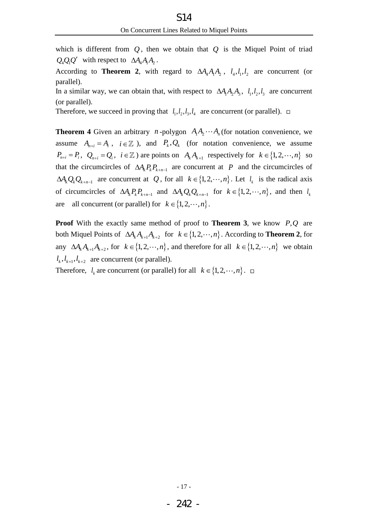which is different from  $Q$ , then we obtain that  $Q$  is the Miquel Point of triad  $Q_4Q_1Q'$  with respect to  $\Delta A_4A_1A_2$ .

According to **[Theorem 2](#page-14-2)**, with regard to  $\Delta A_4 A_1 A_2$ ,  $l_4, l_1, l_2$  are concurrent (or parallel).

In a similar way, we can obtain that, with respect to  $\Delta A_1 A_2 A_3$ ,  $l_1, l_2, l_3$  are concurrent (or parallel).

Therefore, we succeed in proving that  $l_1, l_2, l_3, l_4$  are concurrent (or parallel).

<span id="page-19-0"></span>**Theorem 4** Given an arbitrary *n*-polygon  $A_1A_2 \cdots A_n$  (for notation convenience, we assume  $A_{n+i} = A_i$ ,  $i \in \mathbb{Z}$ ), and  $P_k, Q_k$  (for notation convenience, we assume  $P_{n+i} = P_i, \quad Q_{n+i} = Q_i, \quad i \in \mathbb{Z}$ ) are points on  $A_k A_{k+1}$  respectively for  $k \in \{1, 2, \dots, n\}$  so that the circumcircles of  $\Delta A_k P_k P_{k+n-1}$  are concurrent at P and the circumcircles of  $\Delta A_k Q_k Q_{k+n-1}$  are concurrent at Q, for all  $k \in \{1, 2, \dots, n\}$ . Let  $l_k$  is the radical axis of circumcircles of  $\Delta A_k P_k P_{k+n-1}$  and  $\Delta A_k Q_k Q_{k+n-1}$  for  $k \in \{1, 2, \dots, n\}$ , and then  $l_k$ are all concurrent (or parallel) for  $k \in \{1, 2, \dots, n\}$ .

**Proof** With the exactly same method of proof to **[Theorem 3](#page-18-1)**, we know  $P,Q$  are both Miquel Points of  $\Delta A_k A_{k+1} A_{k+2}$  for  $k \in \{1, 2, \dots, n\}$ . According to **[Theorem 2](#page-14-2)**, for any  $\Delta A_k A_{k+1} A_{k+2}$ , for  $k \in \{1, 2, \dots, n\}$ , and therefore for all  $k \in \{1, 2, \dots, n\}$  we obtain  $l_k, l_{k+1}, l_{k+2}$  are concurrent (or parallel). Therefore,  $l_k$  are concurrent (or parallel) for all  $k \in \{1, 2, \dots, n\}$ .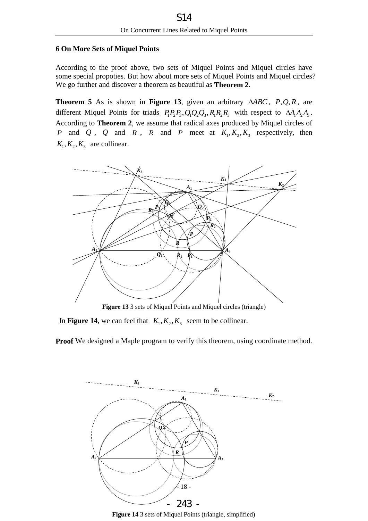## <span id="page-20-0"></span>**6 On More Sets of Miquel Points**

According to the proof above, two sets of Miquel Points and Miquel circles have some special propoties. But how about more sets of Miquel Points and Miquel circles? We go further and discover a theorem as beautiful as **[Theorem 2](#page-14-2)**.

<span id="page-20-3"></span>**Theorem 5** As is shown in **[Figure 13](#page-20-1)**, given an arbitrary  $\triangle ABC$ , P, Q, R, are different Miquel Points for triads  $P_1P_2P_3, Q_1Q_2Q_3, R_1R_2R_3$  with respect to  $\Delta A_1A_2A_3$ . According to **[Theorem 2](#page-14-2)**, we assume that radical axes produced by Miquel circles of *P* and *Q*, *Q* and *R*, *R* and *P* meet at  $K_1, K_2, K_3$  respectively, then  $K_1, K_2, K_3$  are collinear.



**Figure 13** 3 sets of Miquel Points and Miquel circles (triangle)

<span id="page-20-1"></span>In **[Figure 14](#page-20-2)**, we can feel that  $K_1, K_2, K_3$  seem to be collinear.

**Proof** We designed a Maple program to verify this theorem, using coordinate method.



<span id="page-20-2"></span>**Figure 14** 3 sets of Miquel Points (triangle, simplified)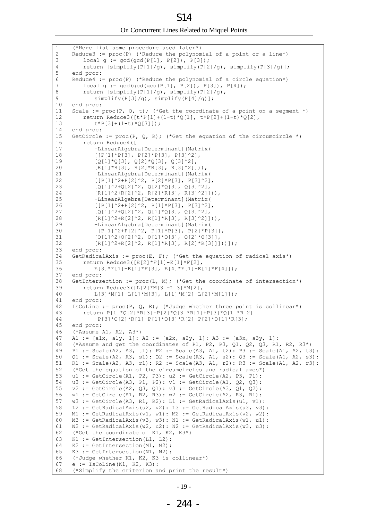On Concurrent Lines Related to Miquel Points S14

| 1  | (*Here list some procedure used later*)                                       |
|----|-------------------------------------------------------------------------------|
| 2  | Reduce3 := $proc(P)$ (*Reduce the polynomial of a point or a line*)           |
| 3  | local $g := \gcd(\gcd(P[1], P[2]), P[3])$ ;                                   |
| 4  | return [simplify(P[1]/g), simplify(P[2]/g), simplify(P[3]/g)];                |
| 5  | end proc:                                                                     |
| 6  | Reduce4 := proc(P) (*Reduce the polynomial of a circle equation*)             |
| 7  | local $g := \gcd(\gcd(\gcd(P[1], P[2]), P[3]), P[4]);$                        |
| 8  | return $[simplify(P[1]/q)$ , simplify(P[2]/g),                                |
| 9  | $simplify(P[3]/q)$ , $simplify(P[4]/q)$ ;                                     |
| 10 | end proc:                                                                     |
| 11 | Scale := proc(P, Q, t); (*Get the coordinate of a point on a segment *)       |
| 12 | return Reduce3( $[t*P[1]+(1-t)*Q[1]$ , $t*P[2]+(1-t)*Q[2]$ ,                  |
| 13 | $t * P[3] + (1-t) * Q[3]]$ ;                                                  |
| 14 | end proc:                                                                     |
| 15 | GetCircle := $proc(P, Q, R)$ ; (*Get the equation of the circumcircle *)      |
| 16 | return Reduce4 ([                                                             |
| 17 | -LinearAlgebra [Determinant] (Matrix (                                        |
| 18 |                                                                               |
| 19 | $[ [P[1]*P[3], P[2]*P[3], P[3] ^2],$                                          |
|    | $[Q[1]*Q[3], Q[2]*Q[3], Q[3]'2],$                                             |
| 20 | $[R[1]*R[3], R[2]*R[3], R[3]^2])$ ,                                           |
| 21 | +LinearAlgebra [Determinant] (Matrix (                                        |
| 22 | $[ [P[1]^2+P[2]^2, P[2]*P[3], P[3]^2],$                                       |
| 23 | $[Q[1]$ ^2+Q[2] ^2, Q[2] *Q[3], Q[3] ^2],                                     |
| 24 | $[R[1]^2+R[2]$ <sup>2</sup> , $R[2]*R[3]$ , $R[3]$ <sup>2</sup> ]])),         |
| 25 | -LinearAlgebra[Determinant](Matrix(                                           |
| 26 | $[ [P[1]^2+P[2]^2, P[1]*P[3], P[3]^2],$                                       |
| 27 | $[Q[1]^2+Q[2]^2, Q[1]*Q[3], Q[3]^2],$                                         |
| 28 | $[R[1]^2+R[2]$ $2$ , $R[1]*R[3]$ , $R[3]$ $2]$ )),                            |
| 29 | +LinearAlgebra[Determinant](Matrix(                                           |
| 30 | $[ [P[1]^2+P[2]^2, P[1]*P[3], P[2]*P[3]],$                                    |
| 31 | $[Q[1]^2+Q[2]^2, Q[1]*Q[3], Q[2]*Q[3]],$                                      |
| 32 | $[R[1] ^{2} R[2] ^{2}, R[1] ^{*} R[3], R[2] ^{*} R[3]])))];$                  |
| 33 | end proc:                                                                     |
| 34 | GetRadicalAxis := $proc(E, F);$ (*Get the equation of radical axis*)          |
| 35 | return Reduce3([E[2]*F[1]-E[1]*F[2],                                          |
| 36 | $E[3]*F[1]-E[1]*F[3], E[4]*F[1]-E[1]*F[4]]);$                                 |
| 37 | end proc:                                                                     |
| 38 | GetIntersection := $proc(L, M)$ ; (*Get the coordinate of intersection*)      |
| 39 | return Reduce3([L[2]*M[3]-L[3]*M[2],                                          |
| 40 | $L[3]*M[1]-L[1]*M[3], L[1]*M[2]-L[2]*M[1]]);$                                 |
| 41 | end proc:                                                                     |
| 42 | IsCoLine := $proc(P, Q, R)$ ; (*Judge whether three point is collinear*)      |
| 43 | return $P[1]*Q[2]*R[3]+P[2]*Q[3]*R[1]+P[3]*Q[1]*R[2]$                         |
| 44 | $-P[3]*Q[2]*R[1]-P[1]*Q[3]*R[2]-P[2]*Q[1]*R[3];$                              |
| 45 | end proc:                                                                     |
| 46 | $(*Assume A1, A2, A3*)$                                                       |
| 47 | A1 := $[a1x, a1y, 1]$ : A2 := $[a2x, a2y, 1]$ : A3 := $[a3x, a3y, 1]$ :       |
| 48 | (*Assume and get the coordinates of P1, P2, P3, Q1, Q2, Q3, R1, R2, R3*)      |
| 49 | P1 := Scale(A2, A3, t1): P2 := Scale(A3, A1, t2): P3 := Scale(A1, A2, t3):    |
| 50 | Q1 := Scale(A2, A3, s1): Q2 := Scale(A3, A1, s2): Q3 := Scale(A1, A2, s3):    |
| 51 | R1 := Scale(A2, A3, r1): R2 := Scale(A3, A1, r2): R3 := Scale(A1, A2, r3):    |
| 52 | (*Get the equation of the circumcircles and radical axes*)                    |
| 53 | ul := GetCircle(A1, P2, P3): u2 := GetCircle(A2, P3, P1):                     |
| 54 | u3 := GetCircle(A3, P1, P2): v1 := GetCircle(A1, Q2, Q3):                     |
| 55 | $v2 := GetCircle(A2, Q3, Q1): v3 := GetCircle(A3, Q1, Q2):$                   |
| 56 | $w1 := \text{GetCircle}(A1, R2, R3): w2 := \text{GetCircle}(A2, R3, R1):$     |
| 57 | $w3 := \text{GetCircle}(A3, R1, R2): L1 := \text{GetRadicalAxis}(u1, v1):$    |
| 58 | L2 := GetRadicalAxis(u2, v2): L3 := GetRadicalAxis(u3, v3):                   |
| 59 | M1 := GetRadicalAxis(v1, w1): M2 := GetRadicalAxis(v2, w2):                   |
| 60 | $M3 := GetRadicalAxis(v3, w3): N1 := GetRadicalAxis(w1, u1):$                 |
| 61 | $N2 := \text{GetRadicalAxis}(w2, u2) : N2 := \text{GetRadicalAxis}(w3, u3) :$ |
| 62 | (*Get the coordinate of K1, K2, K3*)                                          |
| 63 | $K1 := GetIntersection(L1, L2)$ :                                             |
| 64 | $K2 := GetIntersection(M1, M2)$ :                                             |
| 65 | $K3 := GetIntersection(N1, N2)$ :                                             |
| 66 | (*Judge whether K1, K2, K3 is collinear*)                                     |
| 67 | $e := IsColine(K1, K2, K3):$                                                  |
| 68 | (*Simplify the criterion and print the result*)                               |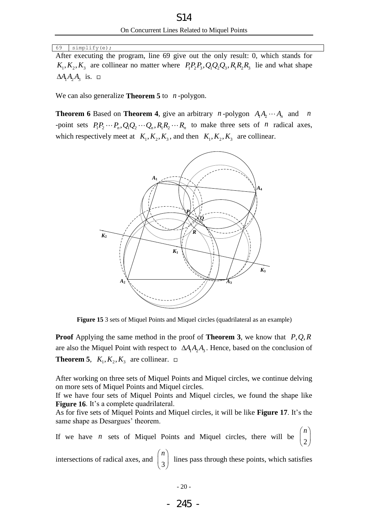69 simplify(e);

After executing the program, line 69 give out the only result: 0, which stands for  $K_1, K_2, K_3$  are collinear no matter where  $P_1P_2P_3, Q_1Q_2Q_3, R_1R_2R_3$  lie and what shape  $\Delta A_1 A_2 A_3$  is.

We can also generalize **[Theorem 5](#page-20-3)** to *n* -polygon.

**Theorem 6** Based on **[Theorem 4](#page-19-0)**, give an arbitrary *n*-polygon  $A_1A_2 \cdots A_n$  and *n* **1 neorem 6** Based on **1 neorem 4**, give an arounaly *n*-polygon  $A_1A_2 \cdots A_n$  and *n*<br>-point sets  $P_1P_2 \cdots P_n$ ,  $Q_1Q_2 \cdots Q_n$ ,  $R_1R_2 \cdots R_n$  to make three sets of *n* radical axes, which respectively meet at  $K_1, K_2, K_3$ , and then  $K_1, K_2, K_3$  are collinear.



**Figure 15** 3 sets of Miquel Points and Miquel circles (quadrilateral as an example)

**Proof** Applying the same method in the proof of **[Theorem 3](#page-18-1)**, we know that P,Q,R are also the Miquel Point with respect to  $\Delta A_1 A_2 A_3$ . Hence, based on the conclusion of **[Theorem 5](#page-20-3)**,  $K_1, K_2, K_3$  are collinear.

After working on three sets of Miquel Points and Miquel circles, we continue delving on more sets of Miquel Points and Miquel circles.

If we have four sets of Miquel Points and Miquel circles, we found the shape like **[Figure 16](#page-23-0).** It's a complete quadrilateral.

As for five sets of Miquel Points and Miquel circles, it will be like **[Figure 17](#page-23-1)**. It's the same shape as Desargues' theorem.

If we have  $n$  sets of Miquel Points and Miquel circles, there will be 2 *n*  $\binom{2}{}$ 

intersections of radical axes, and 3 *n*  $\left(3\right)$  lines pass through these points, which satisfies

$$
-245-
$$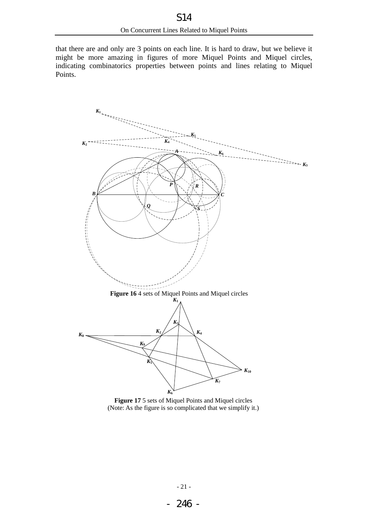that there are and only are 3 points on each line. It is hard to draw, but we believe it might be more amazing in figures of more Miquel Points and Miquel circles, indicating combinatorics properties between points and lines relating to Miquel Points.



<span id="page-23-1"></span><span id="page-23-0"></span>**Figure 17** 5 sets of Miquel Points and Miquel circles (Note: As the figure is so complicated that we simplify it.)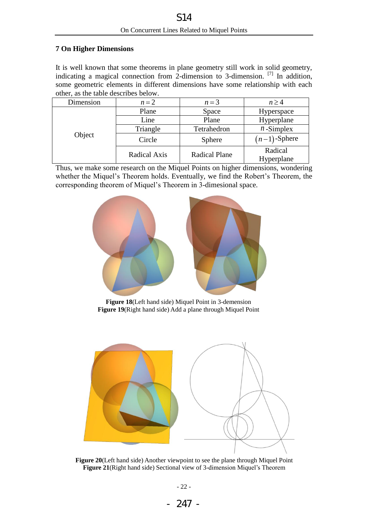## <span id="page-24-0"></span>**7 On Higher Dimensions**

It is well known that some theorems in plane geometry still work in solid geometry, indicating a magical connection from 2-dimension to 3-dimension.  $^{[7]}$  In addition, some geometric elements in different dimensions have some relationship with each other, as the table describes below.

| Dimension | $n=2$        | $n=3$                | $n \geq 4$            |
|-----------|--------------|----------------------|-----------------------|
| Object    | Plane        | Space                | Hyperspace            |
|           | Line         | Plane                | Hyperplane            |
|           | Triangle     | Tetrahedron          | $n$ -Simplex          |
|           | Circle       | <b>Sphere</b>        | $(n-1)$ -Sphere       |
|           | Radical Axis | <b>Radical Plane</b> | Radical<br>Hyperplane |

Thus, we make some research on the Miquel Points on higher dimensions, wondering whether the Miquel's Theorem holds. Eventually, we find the Robert's Theorem, the corresponding theorem of Miquel's Theorem in 3-dimesional space.



**Figure 18**(Left hand side) Miquel Point in 3-demension **Figure 19**(Right hand side) Add a plane through Miquel Point

<span id="page-24-2"></span><span id="page-24-1"></span>

<span id="page-24-4"></span><span id="page-24-3"></span>**Figure 20**(Left hand side) Another viewpoint to see the plane through Miquel Point **Figure 21**(Right hand side) Sectional view of 3-dimension Miquel's Theorem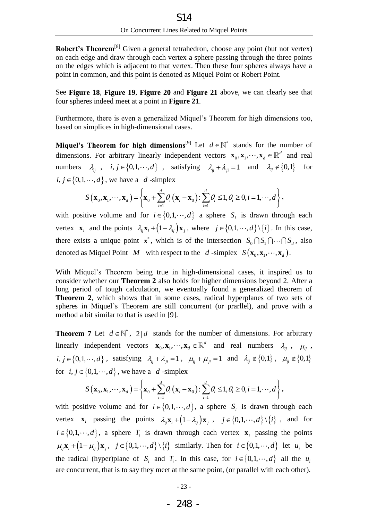**Robert's Theorem<sup>[\[8\]](#page-30-2)</sup>** Given a general tetrahedron, choose any point (but not vertex) on each edge and draw through each vertex a sphere passing through the three points on the edges which is adjacent to that vertex. Then these four spheres always have a point in common, and this point is denoted as Miquel Point or Robert Point.

See **[Figure 18](#page-24-1)**, **[Figure 19](#page-24-2)**, **[Figure 20](#page-24-3)** and **[Figure 21](#page-24-4)** above, we can clearly see that four spheres indeed meet at a point in **[Figure 21](#page-24-4)**.

Furthermore, there is even a generalized Miquel's Theorem for high dimensions too, based on simplices in high-dimensional cases.

**Miquel's Theorem for high dimensions<sup>[\[9\]](#page-30-2)</sup>** Let  $d \in \mathbb{N}^*$  stands for the number of dimensions. For arbitrary linearly independent vectors  $\mathbf{x}_0, \mathbf{x}_1, \dots, \mathbf{x}_d \in \mathbb{R}^d$  and real numbers  $\lambda_{ij}$ ,  $i, j \in \{0, 1, \dots, d\}$ , satisfying  $\lambda_{ij} + \lambda_{ji} = 1$  and  $\lambda_{ij} \notin \{0, 1\}$  for <br>  $i, j \in \{0, 1, \dots, d\}$ , we have a  $d$ -simplex<br>  $S(\mathbf{x}_0, \mathbf{x}_1, \dots, \mathbf{x}_d) = \left\{ \mathbf{x}_0 + \sum_{i=1}^d \theta_i (\mathbf{x}_i - \mathbf{x}_0) : \sum_{i=1}^d \theta_i \le 1$ for

*i*, 
$$
j \in \{0, 1, \dots, d\}
$$
, we have a *d*-simplex  

$$
S(\mathbf{x}_0, \mathbf{x}_1, \dots, \mathbf{x}_d) = \left\{ \mathbf{x}_0 + \sum_{i=1}^d \theta_i (\mathbf{x}_i - \mathbf{x}_0) : \sum_{i=1}^d \theta_i \le 1, \theta_i \ge 0, i = 1, \dots, d \right\},
$$

with positive volume and for  $i \in \{0, 1, \dots, d\}$  a sphere  $S_i$  is drawn through each vertex  $\mathbf{x}_i$  and the points  $\lambda_{ij}\mathbf{x}_i + (1-\lambda_{ij})\mathbf{x}_j$ , where  $j \in \{0,1,\dots,d\} \setminus \{i\}$ . In this case, there exists a unique point  $\mathbf{x}^*$ , which is of the intersection  $S_0 \cap S_1 \cap \cdots \cap S_d$ , also denoted as Miquel Point *M* with respect to the *d*-simplex  $S(\mathbf{x}_0, \mathbf{x}_1, \dots, \mathbf{x}_d)$ .

With Miquel's Theorem being true in high-dimensional cases, it inspired us to consider whether our **[Theorem 2](#page-14-2)** also holds for higher dimensions beyond 2. After a long period of tough calculation, we eventually found a generalized theorem of **[Theorem 2](#page-14-2)**, which shows that in some cases, radical hyperplanes of two sets of spheres in Miquel's Theorem are still concurrent (or prarllel), and prove with a method a bit similar to that is used in [\[9\].](#page-30-2)

<span id="page-25-0"></span>**Theorem 7** Let  $d \in \mathbb{N}^*$ , 2|d stands for the number of dimensions. For arbitrary linearly independent vectors  $\mathbf{x}_0, \mathbf{x}_1, \dots, \mathbf{x}_d \in \mathbb{R}^d$  and real numbers  $\lambda_{ij}$ ,  $\mu_{ij}$ , *i*, *j*  $\in \{0, 1, \dots, d\}$ , satisfying  $\lambda_{ij} + \lambda_{ji} = 1$ ,  $\mu_{ij} + \mu_{ji} = 1$  and  $\lambda_{ij} \notin \{0, 1\}$ ,  $\mu_{ij} \notin \{0, 1\}$ <br>for *i*, *j*  $\in \{0, 1, \dots, d\}$ , we have a *d*-simplex<br> $S(\mathbf{x}_0, \mathbf{x}_1, \dots, \mathbf{x}_d) = \left\{\mathbf{x}_0 + \sum_{i=1}^d \theta_i (\mathbf$ 

for 
$$
i, j \in \{0, 1, \dots, d\}
$$
, we have a  $d$ -simplex  

$$
S(\mathbf{x}_0, \mathbf{x}_1, \dots, \mathbf{x}_d) = \left\{ \mathbf{x}_0 + \sum_{i=1}^d \theta_i (\mathbf{x}_i - \mathbf{x}_0) : \sum_{i=1}^d \theta_i \le 1, \theta_i \ge 0, i = 1, \dots, d \right\},
$$

with positive volume and for  $i \in \{0, 1, \dots, d\}$ , a sphere  $S_i$  is drawn through each vertex  $\mathbf{x}_i$  passing the points  $\lambda_{ij} \mathbf{x}_i + (1 - \lambda_{ij}) \mathbf{x}_j$ ,  $j \in \{0, 1, \dots, d\} \setminus \{i\}$ , and for  $i \in \{0, 1, \dots, d\}$ , a sphere  $T_i$  is drawn through each vertex  $\mathbf{x}_i$  passing the points  $\mu_{ij}$ **x**<sub>*i*</sub> +  $(1 - \mu_{ij})$ **x**<sub>*j*</sub>,  $j \in \{0, 1, \dots, d\} \setminus \{i\}$  similarly. Then for  $i \in \{0, 1, \dots, d\}$  let  $u_i$  be the radical (hyper)plane of  $S_i$  and  $T_i$ . In this case, for  $i \in \{0,1,\dots,d\}$  all the  $u_i$ are concurrent, that is to say they meet at the same point, (or parallel with each other).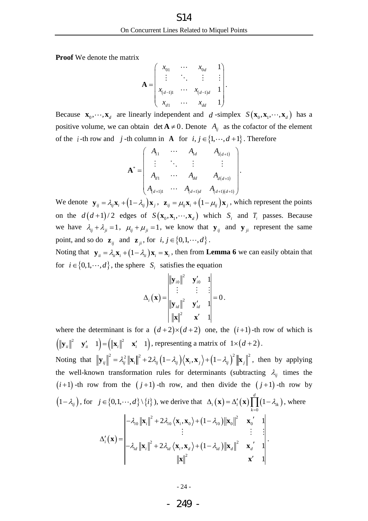**Proof** We denote the matrix

$$
\mathbf{A} = \begin{pmatrix} x_{01} & \cdots & x_{0d} & 1 \\ \vdots & \ddots & \vdots & \vdots \\ x_{(d-1)1} & \cdots & x_{(d-1)d} & 1 \\ x_{d1} & \cdots & x_{dd} & 1 \end{pmatrix}.
$$

Because  $\mathbf{x}_0, \dots, \mathbf{x}_d$  are linearly independent and d-simplex  $S(\mathbf{x}_0, \mathbf{x}_1, \dots, \mathbf{x}_d)$  has a positive volume, we can obtain  $\det A \neq 0$ . Denote  $A_{ij}$  as the cofactor of the element of the *i*-th row and *j*-th column in **A** for  $i, j \in \{1, \dots, d+1\}$ . Therefore  $\begin{pmatrix} A_{11} & \cdots & A_{1d} & A_{1(d+1)} \\ \vdots & \vdots & \vdots & \vdots \end{pmatrix}$ 

$$
\mathbf{A}^* = \begin{pmatrix} A_{11} & \cdots & A_{1d} & A_{1(d+1)} \\ \vdots & \ddots & \vdots & \vdots \\ A_{d1} & \cdots & A_{dd} & A_{d(d+1)} \\ A_{(d+1)1} & \cdots & A_{(d+1)d} & A_{(d+1)(d+1)} \end{pmatrix}.
$$

We denote  $\mathbf{y}_{ij} = \lambda_{ij} \mathbf{x}_i + (1 - \lambda_{ij}) \mathbf{x}_j$ ,  $\mathbf{z}_{ij} = \mu_{ij} \mathbf{x}_i + (1 - \mu_{ij}) \mathbf{x}_j$ , which represent the points on the  $d(d+1)/2$  edges of  $S(\mathbf{x}_0, \mathbf{x}_1, \dots, \mathbf{x}_d)$  which  $S_i$  and  $T_i$  passes. Because we have  $\lambda_{ij} + \lambda_{ji} = 1$ ,  $\mu_{ij} + \mu_{ji} = 1$ , we know that  $\mathbf{y}_{ij}$  and  $\mathbf{y}_{ji}$  represent the same point, and so do  $\mathbf{z}_{ij}$  and  $\mathbf{z}_{ji}$ , for  $i, j \in \{0, 1, \dots, d\}$ .

Noting that  $\mathbf{y}_{ii} = \lambda_{ii}\mathbf{x}_i + (1 - \lambda_{ii})\mathbf{x}_i = \mathbf{x}_i$ , then from **[Lemma 6](#page-9-0)** we can easily obtain that for  $i \in \{0, 1, \dots, d\}$ , the sphere  $S_i$  satisfies the equation

$$
\Delta_{i}(\mathbf{x}) = \begin{vmatrix} ||\mathbf{y}_{i0}||^{2} & \mathbf{y}'_{i0} & 1 \\ \vdots & \vdots & \vdots \\ ||\mathbf{y}_{id}||^{2} & \mathbf{y}'_{id} & 1 \\ ||\mathbf{x}||^{2} & \mathbf{x}' & 1 \end{vmatrix} = 0.
$$

where the determinant is for a  $(d+2) \times (d+2)$  one, the  $(i+1)$ -th row of which is  $\left(\left\Vert \mathbf{y}_{ii}\right\Vert^2 \quad \mathbf{y}_{ii}' \quad 1\right) = \left(\left\Vert \mathbf{x}_i\right\Vert^2 \quad \mathbf{x}_i' \quad 1\right),$  $\mathbf{y}_{ii} \parallel^2 \mathbf{y}_{ii}^{\prime} = 1$  =  $(\|\mathbf{x}_i\|^2 \mathbf{x}_i^{\prime} = 1)$ , representing a matrix of  $1 \times (d+2)$ .  $(\|\mathbf{y}_{ii}\| \mathbf{y}_{ii}^T - \mathbf{y}_{ii}^T) - (\|\mathbf{x}_i\| \mathbf{x}_i^T - \mathbf{y}_i^T)$ , representing a matrix of  $T \times (\mathbf{a}^T)$ <br>
Noting that  $\|\mathbf{y}_{ii}\|^2 = \lambda_{ii}^2 \|\mathbf{x}_i\|^2 + 2\lambda_{ii} (1 - \lambda_{ii}) (\mathbf{x}_i, \mathbf{x}_i) + (1 - \lambda_{ii})^2 \|\mathbf{x}_i\|^2$  $\mathbf{y} = (\|\mathbf{x}_i\|^2 \mathbf{x}'_i \mathbf{1}),$  representing a matrix of  $1 \times (d+2)$ .<br>  $\mathbf{y}_{ij} \|^2 = \lambda_{ij}^2 \|\mathbf{x}_i\|^2 + 2\lambda_{ij} (1 - \lambda_{ij})(\mathbf{x}_i, \mathbf{x}_j) + (1 - \lambda_{ij})^2 \|\mathbf{x}_j\|^2$ , then by applying the well-known transformation rules for determinants (subtracting  $\lambda_{ij}$  times the  $(i+1)$ -th row from the  $(j+1)$ -th row, and then divide the  $(j+1)$ -th row by  $(1 - \lambda_{ij})$ , for  $j \in \{0, 1, \dots, d\} \setminus \{i\}$ , we derive that  $\Delta_i(\mathbf{x}) = \Delta'_i(\mathbf{x}) \prod_{i=1}^{n} (1 - \lambda_{ik})$  $\mathbf{0}$ 1 *d*  $\lambda_i(\mathbf{x}) = \Delta_i'(\mathbf{x}) \prod_{k=0} (1 - \lambda_{ik})$  $\lambda$ .  $\Delta_i(\mathbf{x}) = \Delta'_i(\mathbf{x}) \prod_{k=0}^d (1 - \lambda_{ik}),$  where  $(\mathbf{x})$  $(1-\lambda_{i0})$  $(1-\lambda_{id})$  $\frac{1}{2}$  + 22  $\left(\mathbf{x} \times \mathbf{y}\right)$  + (1 - 2)  $\|\mathbf{x}\|^2$  $\mathbf{X}_0 \left\| \mathbf{x}_i \right\|^2 + 2 \lambda_{i0} \left\langle \mathbf{x}_i, \mathbf{x}_0 \right\rangle + \left(1 - \lambda_{i0}\right) \left\| \mathbf{x}_0 \right\|^2 \quad \mathbf{x}_0$  $\begin{array}{c} \n\vdots \\
\downarrow^2 + 2\lambda \quad (\mathbf{x} \cdot \mathbf{x}) + (1 - \lambda) \|\mathbf{x}\|^2\n\end{array}$ 2 we derive that  $\Delta_i(\mathbf{x}) = \Delta_i(\mathbf{x}) \prod_{k=0}$ <br>  $2\lambda_{i0} \langle \mathbf{x}_i, \mathbf{x}_0 \rangle + (1 - \lambda_{i0}) ||\mathbf{x}_0||^2 \mathbf{x}_0'$  1  $\vdots$  :  $\sum_{d} \langle \mathbf{x}_i, \mathbf{x}_d \rangle + (1 - \lambda_{id}) ||\mathbf{x}_d||^2 \mathbf{x}_d'$  1 1  $\mathbf{x}_i \left\| \mathbf{x}_i \right\|^2 + 2\lambda_{i0} \left\langle \mathbf{x}_i, \mathbf{x}_0 \right\rangle + \left(1 - \lambda_i \right)$  $\begin{aligned} \mathbf{y}'_i(\mathbf{x}) = \begin{vmatrix} -\lambda_{id} ||\mathbf{x}_i||^2 + 2\lambda_{id} \langle \mathbf{x}_i, \mathbf{x}_d \rangle + (1 - \lambda_{id}) ||\mathbf{x}_d||^2 & \mathbf{x}_d \end{vmatrix} \end{aligned}$  $d\} \setminus \{i\}$ , we derive that  $\Delta_i(\mathbf{x}) = \Delta'_i(\lambda_0 \|\mathbf{x}_i\|^2 + 2\lambda_{i0} \langle \mathbf{x}_i, \mathbf{x}_0 \rangle + (1 - \lambda_{i0}) \|\mathbf{x}_0\|^2$  $\mathcal{X}_{id} \left\| \mathbf{x}_i \right\|^2 + 2 \lambda_{id} \left\langle \mathbf{x}_i, \mathbf{x}_d \right\rangle + \left( 1 - \lambda_{id} \right) \left\| \mathbf{x}_d \right\|^2$  $\langle \cdot, d \rangle \setminus \{i\}$ , we derive that  $\Delta_i(\mathbf{x}) = \Delta'_i(\mathbf{x}) \Big|_{k=1}$ <br> $-\lambda_{i0} ||\mathbf{x}_i||^2 + 2\lambda_{i0} \langle \mathbf{x}_i, \mathbf{x}_0 \rangle + (1 - \lambda_{i0}) ||\mathbf{x}_0||^2 \mathbf{x}_0$  $\Delta_i'(\mathbf{x}) = \begin{bmatrix} -\lambda_{i0} \|\mathbf{x}_i\end{bmatrix}$  $-\lambda_{id} ||\mathbf{x}_i||^2 + 2\lambda_{id} \langle \mathbf{x}_i, \mathbf{x}_d \rangle + (1 - \lambda_{id}) ||\mathbf{x}_d||^2 \quad \mathbf{x}_d$  $\cdot$  $\langle \{t\} \rangle$ , we derive that  $\Delta_i(\mathbf{x}) = \Delta_i(\mathbf{x})$ <br> $\mathbf{x}_i \|^2 + 2\lambda_{i0} \langle \mathbf{x}_i, \mathbf{x}_0 \rangle + (1 - \lambda_{i0}) ||\mathbf{x}_0||^2$  **x x**  $\mathbf{x}_{i} \Vert^{2} + 2\lambda_{id} \left\langle \mathbf{x}_{i}, \mathbf{x}_{d} \right\rangle + (1 - \lambda_{id}) \left\| \mathbf{x}_{d} \right\|^{2} \quad \mathbf{x}_{i}$  $\mathbf{x}_{i} \cdot \mathbf{x}_{d}$  +  $(1 - \lambda_{id}) \|\mathbf{x}_{d}\|^{2}$   $\mathbf{x}_{d}'$  1<br> $\mathbf{x}\|^{2}$   $\mathbf{x}'$  1

## - 249 -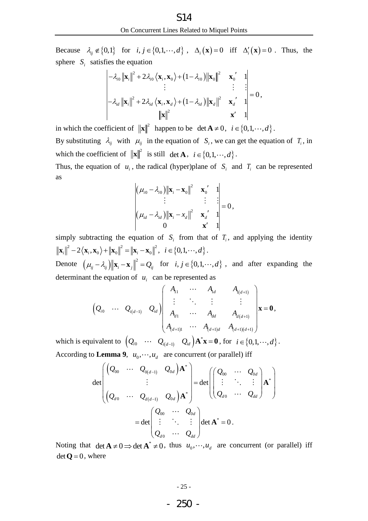Because  $\lambda_{ij} \notin \{0,1\}$  for  $i, j \in \{0,1,\dots,d\}$ ,  $\Delta_i(\mathbf{x}) = 0$  iff  $\Delta'_i(\mathbf{x}) = 0$ . Thus, the

sphere 
$$
S_i
$$
 satisfies the equation  
\n
$$
\begin{vmatrix}\n-\lambda_{i0} ||\mathbf{x}_i||^2 + 2\lambda_{i0} \langle \mathbf{x}_i, \mathbf{x}_0 \rangle + (1 - \lambda_{i0}) ||\mathbf{x}_0||^2 & \mathbf{x}_0' & 1 \\
\vdots & \vdots & \vdots & \vdots \\
-\lambda_{i,d} ||\mathbf{x}_i||^2 + 2\lambda_{i,d} \langle \mathbf{x}_i, \mathbf{x}_d \rangle + (1 - \lambda_{i,d}) ||\mathbf{x}_d||^2 & \mathbf{x}_d' & 1 \\
||\mathbf{x}||^2 & \mathbf{x}' & 1\n\end{vmatrix} = 0,
$$

in which the coefficient of  $\|\mathbf{x}\|^2$  happen to be  $\det \mathbf{A} \neq 0$ ,  $i \in \{0,1,\dots,d\}$ .

By substituting  $\lambda_{ij}$  with  $\mu_{ij}$  in the equation of  $S_i$ , we can get the equation of  $T_i$ , in which the coefficient of  $\|\mathbf{x}\|^2$  is still det **A**,  $i \in \{0, 1, \dots, d\}$ .

Thus, the equation of  $u_i$ , the radical (hyper)plane of  $S_i$  and  $T_i$  can be represented as

$$
\begin{vmatrix} (\mu_{i0} - \lambda_{i0}) \|\mathbf{x}_{i} - \mathbf{x}_{0}\|^{2} & \mathbf{x}_{0}^{\prime} & 1 \\ \vdots & \vdots & \vdots \\ (\mu_{id} - \lambda_{id}) \|\mathbf{x}_{i} - x_{d}\|^{2} & \mathbf{x}_{d}^{\prime} & 1 \\ 0 & \mathbf{x}^{\prime} & 1 \end{vmatrix} = 0,
$$

simply subtracting the equation of  $S_i$  from that of  $T_i$ , and applying the identity  $\|\mathbf{x}_{i}\|^{2} - 2\langle \mathbf{x}_{i}, \mathbf{x}_{0} \rangle + \|\mathbf{x}_{0}\|^{2} = \|\mathbf{x}_{i} - \mathbf{x}_{0}\|^{2}, i \in \{0, 1, \dots, d\}.$ 

Denote  $(\mu_{ij} - \lambda_{ij}) ||\mathbf{x}_i - \mathbf{x}_j||^2 = Q_{ij}$  for  $i, j \in \{0, 1, \dots, d\}$ , and after expanding the determinant the equation of  $u_i$  can be represented as

the equation of 
$$
u_i
$$
 can be represented as  
\n
$$
\left(Q_{i0} \cdots Q_{i(d-1)} Q_{id}\right) \begin{pmatrix}\nA_{11} & \cdots & A_{1d} & A_{i(d+1)} \\
\vdots & \ddots & \vdots & \vdots \\
A_{d1} & \cdots & A_{dd} & A_{d(d+1)} \\
\vdots & \ddots & \vdots & \vdots \\
A_{d+11} & \cdots & A_{d} & A_{d(d+1)} \\
\vdots & \ddots & \vdots & \vdots \\
A_{(d+1)1} & \cdots & A_{(d+1)d} & A_{(d+1)(d+1)}\n\end{pmatrix} \mathbf{x} = \mathbf{0},
$$

which is equivalent to  $(Q_{i0} \cdots Q_{i(d-1)} Q_{id}) \mathbf{A}^* \mathbf{x} = \mathbf{0}$ , for  $i \in \{0,1,\dots,d\}$ .

According to Lemma 9, 
$$
u_0, \dots, u_d
$$
 are concurrent (or parallel) iff  
\n
$$
\det \begin{pmatrix} (Q_{00} & \cdots & Q_{0(d-1)} & Q_{0d}) \mathbf{A}^* \\ \vdots & \vdots & \vdots \\ (Q_{d0} & \cdots & Q_{d(d-1)} & Q_{0d}) \mathbf{A}^* \end{pmatrix} = \det \begin{pmatrix} Q_{00} & \cdots & Q_{0d} \\ \vdots & \ddots & \vdots \\ Q_{d0} & \cdots & Q_{dd} \end{pmatrix} \mathbf{A}^*
$$
\n
$$
= \det \begin{pmatrix} Q_{00} & \cdots & Q_{0d} \\ \vdots & \ddots & \vdots \\ Q_{d0} & \cdots & Q_{dd} \end{pmatrix} \det \mathbf{A}^* = 0.
$$

Noting that  $\det \mathbf{A} \neq 0 \Rightarrow \det \mathbf{A}^* \neq 0$ , thus  $u_0, \dots, u_d$  are concurrent (or parallel) iff  $det \mathbf{Q} = 0$ , where

- 250 -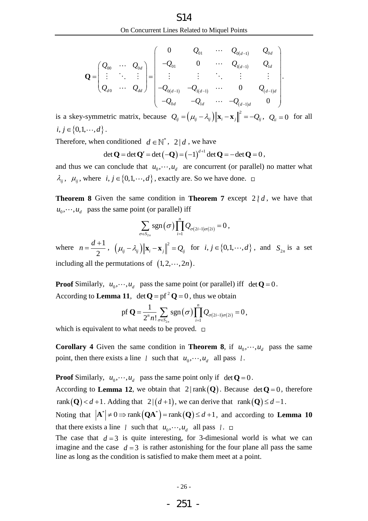On Concurrent Lines Related to Miguel Points  
\n
$$
\mathbf{Q} = \begin{pmatrix} Q_{00} & \cdots & Q_{0d} \\ \vdots & \ddots & \vdots \\ Q_{d0} & \cdots & Q_{dd} \end{pmatrix} = \begin{pmatrix} 0 & Q_{01} & \cdots & Q_{0(d-1)} & Q_{0d} \\ -Q_{01} & 0 & \cdots & Q_{1(d-1)} & Q_{1d} \\ \vdots & \vdots & \ddots & \vdots & \vdots \\ -Q_{0(d-1)} & -Q_{1(d-1)} & \cdots & 0 & Q_{(d-1)d} \\ -Q_{0d} & -Q_{1d} & \cdots & -Q_{(d-1)d} & 0 \end{pmatrix}.
$$

is a skey-symmetric matrix, because  $Q_{ij} = (\mu_{ij} - \lambda_{ij}) ||\mathbf{x}_i - \mathbf{x}_j||^2 = -Q_{ij}$ ,  $Q_{ii} = 0$  for all  $i, j \in \{0, 1, \dots, d\}$ .

Therefore, when conditioned 
$$
d \in \mathbb{N}^*
$$
,  $2 | d$ , we have  
\n
$$
\det \mathbf{Q} = \det \mathbf{Q}' = \det (-\mathbf{Q}) = (-1)^{d+1} \det \mathbf{Q} = -\det \mathbf{Q} = 0,
$$

and thus we can conclude that  $u_0$ ,  $\cdots$ ,  $u_d$  are concurrent (or parallel) no matter what  $\lambda_{ij}$ ,  $\mu_{ij}$ , where  $i, j \in \{0, 1, \dots, d\}$ , exactly are. So we have done.

<span id="page-28-0"></span>**Theorem 8** Given the same condition in **[Theorem 7](#page-25-0)** except  $2/d$ , we have that  $u_0$ ,  $\dots$ ,  $u_d$  pass the same point (or parallel) iff

$$
\sum_{\sigma \in S_{2n}} \operatorname{sgn}(\sigma) \prod_{i=1}^n Q_{\sigma(2i-1)\sigma(2i)} = 0,
$$

where  $n = \frac{d+1}{1}$ 2  $n = \frac{d}{ }$  $=\frac{d+1}{2}, \left( \mu_{ij} - \lambda_{ij} \right) ||\mathbf{x}_{i} - \mathbf{x}_{j}||^{2} = Q_{ij}$  for  $i, j \in \{0, 1, \dots, d\}$ , and  $S_{2n}$  is a set including all the permutations of  $(1, 2, \dots, 2n)$ .

**Proof** Similarly,  $u_0, \dots, u_d$  pass the same point (or parallel) iff  $det \mathbf{Q} = 0$ . According to **[Lemma 11](#page-10-0)**,  $\det Q = p f^2 Q = 0$ , thus we obtain

$$
\text{pf } \mathbf{Q} = \frac{1}{2^n n!} \sum_{\sigma \in S_{2n}} \text{sgn}(\sigma) \prod_{i=1}^n Q_{\sigma(2i-1)\sigma(2i)} = 0,
$$

which is equivalent to what needs to be proved.  $\Box$ 

<span id="page-28-1"></span>**Corollary 4** Given the same condition in **[Theorem 8](#page-28-0)**, if  $u_0, \dots, u_d$  pass the same point, then there exists a line  $l$  such that  $u_0, \dots, u_d$  all pass  $l$ .

**Proof** Similarly,  $u_0, \dots, u_d$  pass the same point only if  $det \mathbf{Q} = 0$ .

According to **[Lemma 12](#page-10-1)**, we obtain that  $2 | rank(Q)$ . Because  $det Q = 0$ , therefore rank  $(Q) < d+1$ . Adding that  $2|(d+1)$ , we can derive that rank  $(Q) \leq d-1$ .

rank  $(Q) < d+1$ . Adding that  $2|(d+1)$ , we can derive that rank  $(Q) \le d-1$ .<br>Noting that  $|A^*| \ne 0 \Rightarrow \text{rank}(QA^*) = \text{rank}(Q) \le d+1$ , and according to **[Lemma 10](#page-10-2)** that there exists a line  $l$  such that  $u_0, \dots, u_d$  all pass  $l$ .

The case that  $d=3$  is quite interesting, for 3-dimesional world is what we can imagine and the case  $d=3$  is rather astonishing for the four plane all pass the same line as long as the condition is satisfied to make them meet at a point.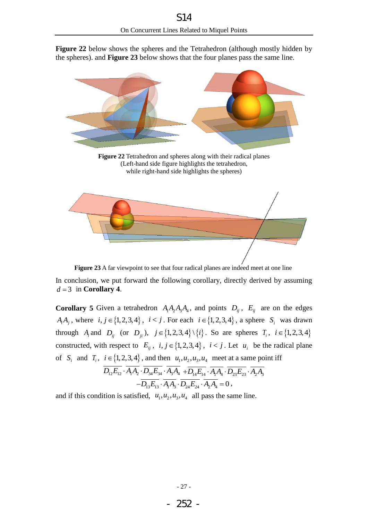**[Figure 22](#page-29-0)** below shows the spheres and the Tetrahedron (although mostly hidden by the spheres). and **[Figure 23](#page-29-1)** below shows that the four planes pass the same line.



<span id="page-29-0"></span>

**Figure 23** A far viewpoint to see that four radical planes are indeed meet at one line

<span id="page-29-1"></span>In conclusion, we put forward the following corollary, directly derived by assuming  $d = 3$  in **[Corollary 4](#page-28-1)**.

**Corollary 5** Given a tetrahedron  $A_1A_2A_3A_4$ , and points  $D_{ij}$ ,  $E_{ij}$  are on the edges  $A_iA_j$ , where  $i, j \in \{1,2,3,4\}$ ,  $i < j$ . For each  $i \in \{1,2,3,4\}$ , a sphere  $S_i$  was drawn through  $A_i$  and  $D_{ij}$  (or  $D_{ji}$ ),  $j \in \{1, 2, 3, 4\} \setminus \{i\}$ . So are spheres  $T_i$ ,  $i \in \{1, 2, 3, 4\}$ constructed, with respect to  $E_{ij}$ ,  $i, j \in \{1, 2, 3, 4\}$ ,  $i < j$ . Let  $u_i$  be the radical plane of  $S_i$  and  $T_i$ ,  $i \in \{1, 2, 3, 4\}$ , and then  $u_1, u_2, u_3, u_4$  meet at a same point iff  $\overline{D_{12}E_{12}}\cdot\overline{A_1A_2}\cdot\overline{D_{34}E_{34}}\cdot\overline{A_3A_4} + \overline{D_{14}E_{14}}\cdot\overline{A_1A_4}\cdot\overline{D_{23}E_{23}}\cdot\overline{A_2A_3}$ 

$$
-D_{13}E_{13} \cdot A_1A_3 \cdot D_{24}E_{24} \cdot A_2A_4 + D_{14}E_{14} \cdot A_1A_4 \cdot D_{23}E_{23} \cdot A_2A_4 - D_{13}E_{13} \cdot A_1A_3 \cdot D_{24}E_{24} \cdot A_2A_4 = 0,
$$

and if this condition is satisfied,  $u_1, u_2, u_3, u_4$  all pass the same line.